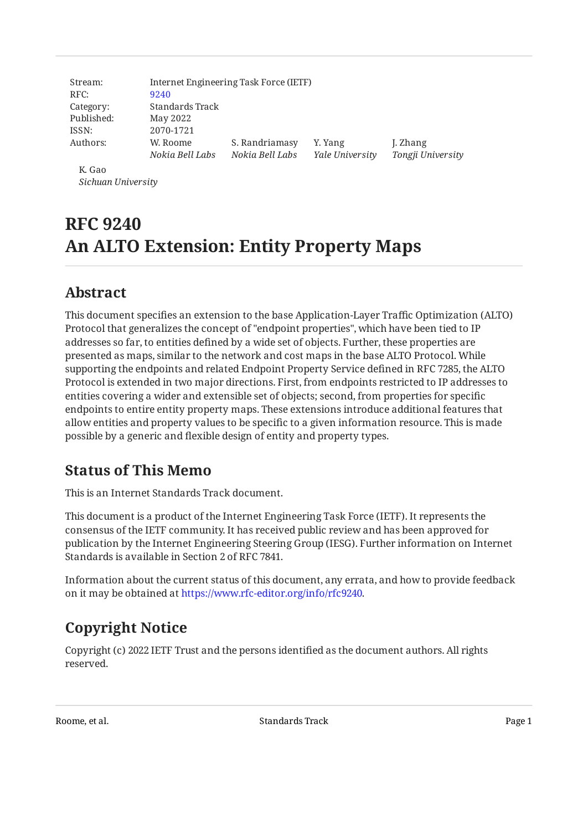| Stream:    |                 | Internet Engineering Task Force (IETF) |                 |                   |
|------------|-----------------|----------------------------------------|-----------------|-------------------|
| RFC:       | 9240            |                                        |                 |                   |
| Category:  | Standards Track |                                        |                 |                   |
| Published: | May 2022        |                                        |                 |                   |
| ISSN:      | 2070-1721       |                                        |                 |                   |
| Authors:   | W. Roome        | S. Randriamasy                         | Y. Yang         | J. Zhang          |
|            | Nokia Bell Labs | Nokia Bell Labs                        | Yale University | Tongji University |
| K. Gao     |                 |                                        |                 |                   |

*Sichuan University*

# **RFC 9240 An ALTO Extension: Entity Property Maps**

# <span id="page-0-0"></span>**[Abstract](#page-0-0)**

This document specifies an extension to the base Application-Layer Traffic Optimization (ALTO) Protocol that generalizes the concept of "endpoint properties", which have been tied to IP addresses so far, to entities defined by a wide set of objects. Further, these properties are presented as maps, similar to the network and cost maps in the base ALTO Protocol. While supporting the endpoints and related Endpoint Property Service defined in RFC 7285, the ALTO Protocol is extended in two major directions. First, from endpoints restricted to IP addresses to entities covering a wider and extensible set of objects; second, from properties for specific endpoints to entire entity property maps. These extensions introduce additional features that allow entities and property values to be specific to a given information resource. This is made possible by a generic and flexible design of entity and property types.

# <span id="page-0-1"></span>**[Status of This Memo](#page-0-1)**

This is an Internet Standards Track document.

This document is a product of the Internet Engineering Task Force (IETF). It represents the consensus of the IETF community. It has received public review and has been approved for publication by the Internet Engineering Steering Group (IESG). Further information on Internet Standards is available in Section 2 of RFC 7841.

Information about the current status of this document, any errata, and how to provide feedback on it may be obtained at [https://www.rfc-editor.org/info/rfc9240.](https://www.rfc-editor.org/info/rfc9240)

# <span id="page-0-2"></span>**[Copyright Notice](#page-0-2)**

Copyright (c) 2022 IETF Trust and the persons identified as the document authors. All rights reserved.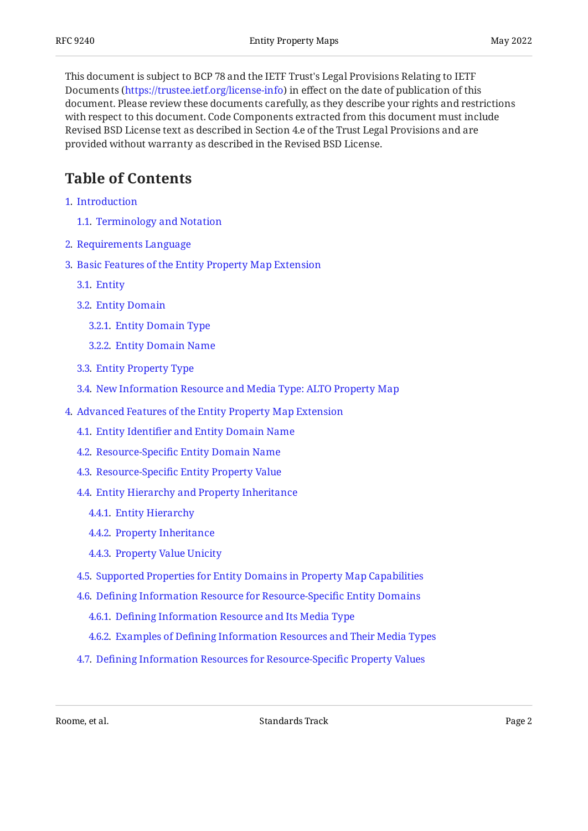This document is subject to BCP 78 and the IETF Trust's Legal Provisions Relating to IETF Documents (<https://trustee.ietf.org/license-info>) in effect on the date of publication of this document. Please review these documents carefully, as they describe your rights and restrictions with respect to this document. Code Components extracted from this document must include Revised BSD License text as described in Section 4.e of the Trust Legal Provisions and are provided without warranty as described in the Revised BSD License.

# <span id="page-1-0"></span>**[Table of Contents](#page-1-0)**

- [1](#page-4-0). [Introduction](#page-4-0)
	- [1.1.](#page-5-0) [Terminology and Notation](#page-5-0)
- [2](#page-6-0). [Requirements Language](#page-6-0)
- [3](#page-6-1). [Basic Features of the Entity Property Map Extension](#page-6-1)
	- [3.1.](#page-6-2) [Entity](#page-6-2)
	- [3.2.](#page-7-0) [Entity Domain](#page-7-0)
		- [3.2.1](#page-7-1). [Entity Domain Type](#page-7-1)
		- [3.2.2](#page-7-2). [Entity Domain Name](#page-7-2)
	- [3.3.](#page-8-0) [Entity Property Type](#page-8-0)
	- [3.4.](#page-8-1) [New Information Resource and Media Type: ALTO Property Map](#page-8-1)
- [4](#page-9-0). [Advanced Features of the Entity Property Map Extension](#page-9-0)
	- [4.1.](#page-9-1) Entity Identifi[er and Entity Domain Name](#page-9-1)
	- [4.2.](#page-9-2) Resource-Specifi[c Entity Domain Name](#page-9-2)
	- [4.3.](#page-10-0) Resource-Specifi[c Entity Property Value](#page-10-0)
	- [4.4.](#page-10-1) [Entity Hierarchy and Property Inheritance](#page-10-1)
		- [4.4.1](#page-11-0). [Entity Hierarchy](#page-11-0)
		- [4.4.2](#page-11-1). [Property Inheritance](#page-11-1)
		- [4.4.3](#page-12-0). [Property Value Unicity](#page-12-0)
	- [4.5.](#page-12-1) [Supported Properties for Entity Domains in Property Map Capabilities](#page-12-1)
	- [4.6.](#page-13-0) Defi[ning Information Resource for Resource-Speci](#page-13-0)fic Entity Domains
		- [4.6.1](#page-13-1). Defi[ning Information Resource and Its Media Type](#page-13-1)
		- [4.6.2](#page-14-0). Examples of Defi[ning Information Resources and Their Media Types](#page-14-0)
	- [4.7.](#page-15-0) Defi[ning Information Resources for Resource-Speci](#page-15-0)fic Property Values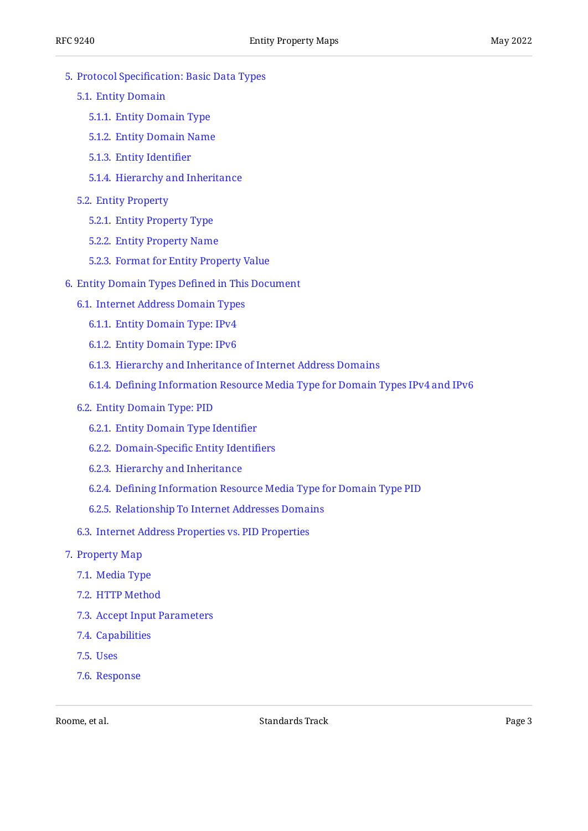- [5](#page-15-1). Protocol Specifi[cation: Basic Data Types](#page-15-1)
	- [5.1.](#page-15-2) [Entity Domain](#page-15-2)
		- [5.1.1](#page-15-3). [Entity Domain Type](#page-15-3)
		- [5.1.2](#page-16-0). [Entity Domain Name](#page-16-0)
		- [5.1.3](#page-18-0). [Entity Identi](#page-18-0)fier
		- [5.1.4](#page-18-1). [Hierarchy and Inheritance](#page-18-1)
	- [5.2.](#page-18-2) [Entity Property](#page-18-2)
		- [5.2.1](#page-19-0). [Entity Property Type](#page-19-0)
		- [5.2.2](#page-20-0). [Entity Property Name](#page-20-0)
		- [5.2.3](#page-20-1). [Format for Entity Property Value](#page-20-1)
- [6](#page-20-2). [Entity Domain Types De](#page-20-2)fined in This Document
	- [6.1.](#page-20-3) [Internet Address Domain Types](#page-20-3)
		- [6.1.1](#page-20-4). [Entity Domain Type: IPv4](#page-20-4)
		- [6.1.2](#page-21-0). [Entity Domain Type: IPv6](#page-21-0)
		- [6.1.3](#page-21-1). [Hierarchy and Inheritance of Internet Address Domains](#page-21-1)
		- [6.1.4](#page-22-0). Defi[ning Information Resource Media Type for Domain Types IPv4 and IPv6](#page-22-0)
	- [6.2.](#page-22-1) [Entity Domain Type: PID](#page-22-1)
		- [6.2.1](#page-22-2). [Entity Domain Type Identi](#page-22-2)fier
		- [6.2.2](#page-22-3). Domain-Specifi[c Entity Identi](#page-22-3)fiers
		- [6.2.3](#page-23-0). [Hierarchy and Inheritance](#page-23-0)
		- [6.2.4](#page-23-1). Defi[ning Information Resource Media Type for Domain Type PID](#page-23-1)
		- [6.2.5](#page-23-2). [Relationship To Internet Addresses Domains](#page-23-2)
	- [6.3.](#page-23-3) [Internet Address Properties vs. PID Properties](#page-23-3)
- [7](#page-23-4). [Property Map](#page-23-4)
	- [7.1.](#page-24-0) [Media Type](#page-24-0)
	- [7.2.](#page-24-1) [HTTP Method](#page-24-1)
	- [7.3.](#page-24-2) [Accept Input Parameters](#page-24-2)
	- [7.4.](#page-24-3) [Capabilities](#page-24-3)
	- [7.5.](#page-24-4) [Uses](#page-24-4)
	- [7.6.](#page-24-5) [Response](#page-24-5)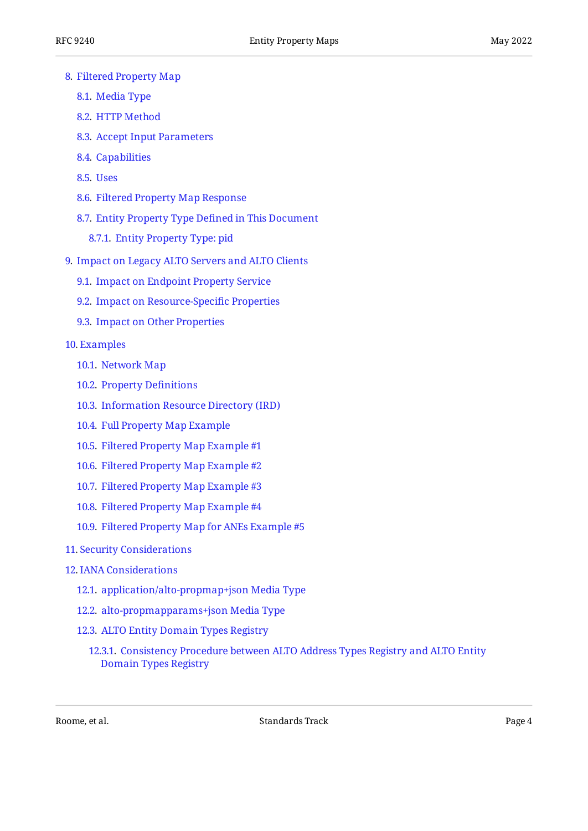- [8](#page-25-0). [Filtered Property Map](#page-25-0)
	- [8.1.](#page-26-0) [Media Type](#page-26-0)
	- [8.2.](#page-26-1) [HTTP Method](#page-26-1)
	- [8.3.](#page-26-2) [Accept Input Parameters](#page-26-2)
	- [8.4.](#page-27-0) [Capabilities](#page-27-0)
	- [8.5.](#page-27-1) [Uses](#page-27-1)
	- [8.6.](#page-27-2) [Filtered Property Map Response](#page-27-2)
	- [8.7.](#page-29-0) [Entity Property Type De](#page-29-0)fined in This Document
		- [8.7.1](#page-29-1). [Entity Property Type: pid](#page-29-1)
- [9](#page-29-2). [Impact on Legacy ALTO Servers and ALTO Clients](#page-29-2)
	- [9.1.](#page-29-3) [Impact on Endpoint Property Service](#page-29-3)
	- [9.2.](#page-30-0) [Impact on Resource-Speci](#page-30-0)fic Properties
	- [9.3.](#page-30-1) [Impact on Other Properties](#page-30-1)

#### [10](#page-30-2). [Examples](#page-30-2)

- [10.1.](#page-30-3) [Network Map](#page-30-3)
- [10.2.](#page-31-0) [Property De](#page-31-0)finitions
- [10.3.](#page-32-0) [Information Resource Directory \(IRD\)](#page-32-0)
- [10.4.](#page-34-0) [Full Property Map Example](#page-34-0)
- [10.5.](#page-35-0) [Filtered Property Map Example #1](#page-35-0)
- [10.6.](#page-36-0) [Filtered Property Map Example #2](#page-36-0)
- [10.7.](#page-37-0) [Filtered Property Map Example #3](#page-37-0)
- [10.8.](#page-38-0) [Filtered Property Map Example #4](#page-38-0)
- [10.9.](#page-39-0) [Filtered Property Map for ANEs Example #5](#page-39-0)
- [11](#page-40-0). [Security Considerations](#page-40-0)

#### [12](#page-41-0). [IANA Considerations](#page-41-0)

- [12.1.](#page-42-0) [application/alto-propmap+json Media Type](#page-42-0)
- [12.2.](#page-43-0) [alto-propmapparams+json Media Type](#page-43-0)
- [12.3.](#page-44-0) [ALTO Entity Domain Types Registry](#page-44-0)
	- [12.3.1.](#page-45-0) [Consistency Procedure between ALTO Address Types Registry and ALTO Entity](#page-45-0) [Domain Types Registry](#page-45-0)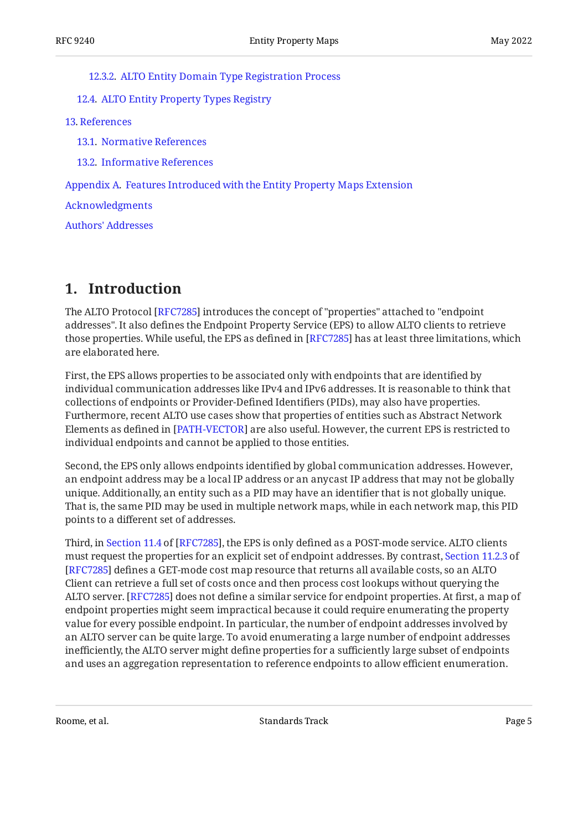#### [12.3.2.](#page-46-0) [ALTO Entity Domain Type Registration Process](#page-46-0)

[12.4.](#page-47-0) [ALTO Entity Property Types Registry](#page-47-0)

[13](#page-48-0). [References](#page-48-0)

[13.1.](#page-48-1) [Normative References](#page-48-1)

[13.2.](#page-49-0) [Informative References](#page-49-0)

[Appendix A.](#page-50-0) [Features Introduced with the Entity Property Maps Extension](#page-50-0)

[Acknowledgments](#page-50-1)

[Authors' Addresses](#page-51-0)

# <span id="page-4-0"></span>**[1. Introduction](#page-4-0)**

The ALTO Protocol [[RFC7285\]](#page-48-2) introduces the concept of "properties" attached to "endpoint addresses". It also defines the Endpoint Property Service (EPS) to allow ALTO clients to retrieve those properties. While useful, the EPS as defined in [\[RFC7285](#page-48-2)] has at least three limitations, which are elaborated here.

First, the EPS allows properties to be associated only with endpoints that are identified by individual communication addresses like IPv4 and IPv6 addresses. It is reasonable to think that collections of endpoints or Provider-Defined Identifiers (PIDs), may also have properties. Furthermore, recent ALTO use cases show that properties of entities such as Abstract Network Elements as defined in [\[PATH-VECTOR](#page-49-1)] are also useful. However, the current EPS is restricted to individual endpoints and cannot be applied to those entities.

Second, the EPS only allows endpoints identified by global communication addresses. However, an endpoint address may be a local IP address or an anycast IP address that may not be globally unique. Additionally, an entity such as a PID may have an identifier that is not globally unique. That is, the same PID may be used in multiple network maps, while in each network map, this PID points to a different set of addresses.

Third,in Section 11.4 of [RFC7285], the EPS is only defined as a POST-mode service. ALTO clients must request the properties for an explicit set of endpoint addresses. By contrast, [Section 11.2.3](https://www.rfc-editor.org/rfc/rfc7285#section-11.2.3) of [[RFC7285\]](#page-48-2) defines a GET-mode cost map resource that returns all available costs, so an ALTO Client can retrieve a full set of costs once and then process cost lookups without querying the ALTO server. [RFC7285] does not define a similar service for endpoint properties. At first, a map of endpoint properties might seem impractical because it could require enumerating the property value for every possible endpoint. In particular, the number of endpoint addresses involved by an ALTO server can be quite large. To avoid enumerating a large number of endpoint addresses inefficiently, the ALTO server might define properties for a sufficiently large subset of endpoints and uses an aggregation representation to reference endpoints to allow efficient enumeration.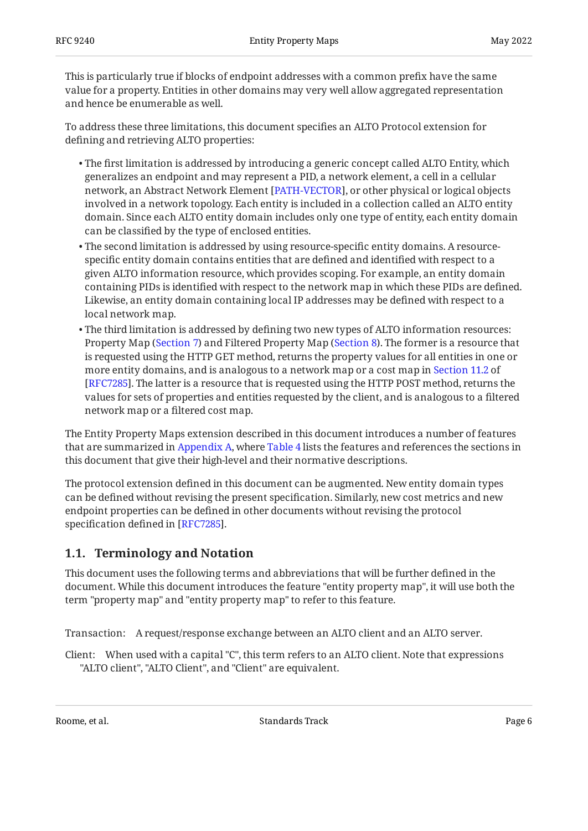This is particularly true if blocks of endpoint addresses with a common prefix have the same value for a property. Entities in other domains may very well allow aggregated representation and hence be enumerable as well.

To address these three limitations, this document specifies an ALTO Protocol extension for defining and retrieving ALTO properties:

- $\bullet$  The first limitation is addressed by introducing a generic concept called ALTO Entity, which generalizes an endpoint and may represent a PID, a network element, a cell in a cellular network, an Abstract Network Element [PATH-VECTOR], or other physical or logical objects involved in a network topology. Each entity is included in a collection called an ALTO entity domain. Since each ALTO entity domain includes only one type of entity, each entity domain can be classified by the type of enclosed entities.
- $\bullet$  The second limitation is addressed by using resource-specific entity domains. A resourcespecific entity domain contains entities that are defined and identified with respect to a given ALTO information resource, which provides scoping. For example, an entity domain containing PIDs is identified with respect to the network map in which these PIDs are defined. Likewise, an entity domain containing local IP addresses may be defined with respect to a local network map.
- $\bullet$  The third limitation is addressed by defining two new types of ALTO information resources: Property Map ([Section 7\)](#page-23-4) and Filtered Property Map ([Section 8\)](#page-25-0). The former is a resource that is requested using the HTTP GET method, returns the property values for all entities in one or more entity domains, and is analogous to a network map or a cost map in [Section 11.2](https://www.rfc-editor.org/rfc/rfc7285#section-11.2) of [[RFC7285\]](#page-48-2). The latter is a resource that is requested using the HTTP POST method, returns the values for sets of properties and entities requested by the client, and is analogous to a filtered network map or a filtered cost map.

The Entity Property Maps extension described in this document introduces a number of features that are summarized in [Appendix A,](#page-50-0) where [Table 4](#page-50-2) lists the features and references the sections in this document that give their high-level and their normative descriptions.

The protocol extension defined in this document can be augmented. New entity domain types can be defined without revising the present specification. Similarly, new cost metrics and new endpoint properties can be defined in other documents without revising the protocol specification defined in [RFC7285].

# <span id="page-5-0"></span>**[1.1. Terminology and Notation](#page-5-0)**

This document uses the following terms and abbreviations that will be further defined in the document. While this document introduces the feature "entity property map", it will use both the term "property map" and "entity property map" to refer to this feature.

Transaction: A request/response exchange between an ALTO client and an ALTO server.

Client: When used with a capital "C", this term refers to an ALTO client. Note that expressions "ALTO client", "ALTO Client", and "Client" are equivalent.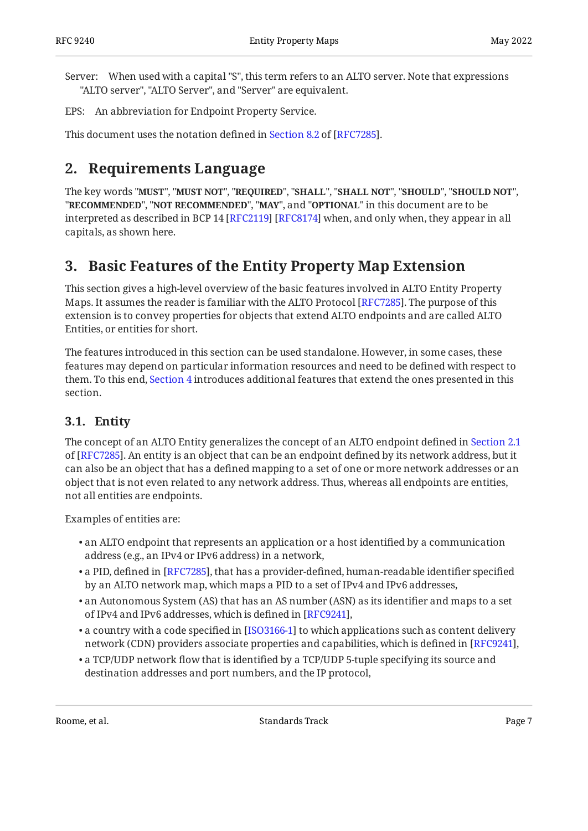Server: When used with a capital "S", this term refers to an ALTO server. Note that expressions "ALTO server", "ALTO Server", and "Server" are equivalent.

EPS: An abbreviation for Endpoint Property Service.

<span id="page-6-0"></span>This document uses the notation defined in [Section 8.2](https://www.rfc-editor.org/rfc/rfc7285#section-8.2) of [\[RFC7285\]](#page-48-2).

# **[2. Requirements Language](#page-6-0)**

The key words "MUST", "MUST NOT", "REQUIRED", "SHALL", "SHALL NOT", "SHOULD", "SHOULD NOT", "**RECOMMENDED", "NOT RECOMMENDED", "MAY",** and "OPTIONAL" in this document are to be interpreted as described in BCP 14 [RFC2119] [RFC8174] when, and only when, they appear in all capitals, as shown here.

# <span id="page-6-1"></span>**[3. Basic Features of the Entity Property Map Extension](#page-6-1)**

This section gives a high-level overview of the basic features involved in ALTO Entity Property Maps. It assumes the reader is familiar with the ALTO Protocol [RFC7285]. The purpose of this extension is to convey properties for objects that extend ALTO endpoints and are called ALTO Entities, or entities for short.

The features introduced in this section can be used standalone. However, in some cases, these features may depend on particular information resources and need to be defined with respect to them. To this end, [Section 4](#page-9-0) introduces additional features that extend the ones presented in this section.

# <span id="page-6-2"></span>**[3.1. Entity](#page-6-2)**

The concept of an ALTO Entity generalizes the concept of an ALTO endpoint defined in [Section 2.1](https://www.rfc-editor.org/rfc/rfc7285#section-2.1) of [[RFC7285\]](#page-48-2). An entity is an object that can be an endpoint defined by its network address, but it can also be an object that has a defined mapping to a set of one or more network addresses or an object that is not even related to any network address. Thus, whereas all endpoints are entities, not all entities are endpoints.

Examples of entities are:

- $\bullet$  an ALTO endpoint that represents an application or a host identified by a communication address (e.g., an IPv4 or IPv6 address) in a network,
- $\bullet$  a PID, defined in [RFC7285], that has a provider-defined, human-readable identifier specified by an ALTO network map, which maps a PID to a set of IPv4 and IPv6 addresses,
- $\bullet$  an Autonomous System (AS) that has an AS number (ASN) as its identifier and maps to a set of IPv4 and IPv6 addresses, which is defined in [RFC9241],
- a country with a code specified in [[ISO3166-1\]](#page-48-4) to which applications such as content delivery network (CDN) providers associate properties and capabilities, which is defined in [[RFC9241\]](#page-49-3),  $\,$
- $\bullet$  a TCP/UDP network flow that is identified by a TCP/UDP 5-tuple specifying its source and destination addresses and port numbers, and the IP protocol,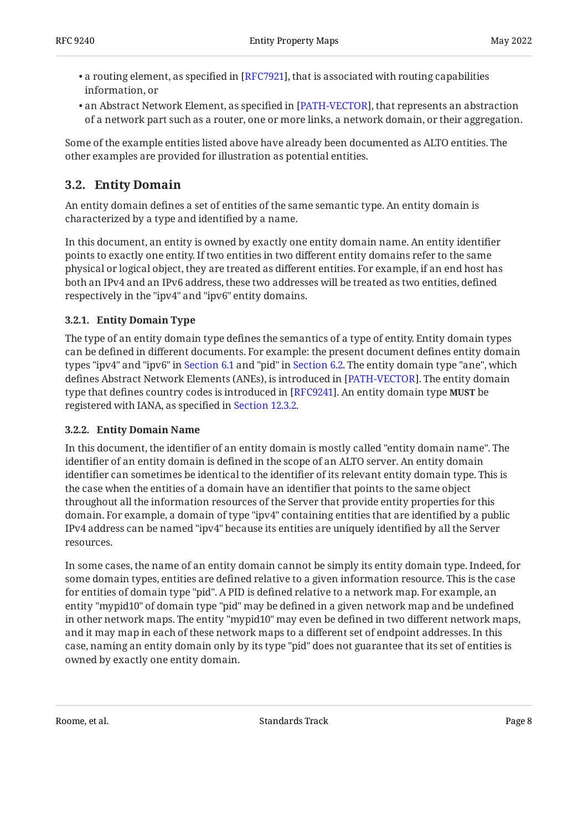- $\bullet$  a routing element, as specified in [RFC7921], that is associated with routing capabilities information, or
- $\bullet$  an Abstract Network Element, as specified in [PATH-VECTOR], that represents an abstraction of a network part such as a router, one or more links, a network domain, or their aggregation.

Some of the example entities listed above have already been documented as ALTO entities. The other examples are provided for illustration as potential entities.

# <span id="page-7-0"></span>**[3.2. Entity Domain](#page-7-0)**

An entity domain defines a set of entities of the same semantic type. An entity domain is characterized by a type and identified by a name.

In this document, an entity is owned by exactly one entity domain name. An entity identifier points to exactly one entity. If two entities in two different entity domains refer to the same physical or logical object, they are treated as different entities. For example, if an end host has both an IPv4 and an IPv6 address, these two addresses will be treated as two entities, defined respectively in the "ipv4" and "ipv6" entity domains.

## <span id="page-7-1"></span>**[3.2.1. Entity Domain Type](#page-7-1)**

The type of an entity domain type defines the semantics of a type of entity. Entity domain types can be defined in different documents. For example: the present document defines entity domain types "ipv4" and "ipv6" in [Section 6.1](#page-20-3) and "pid" in [Section 6.2](#page-22-1). The entity domain type "ane", which defines Abstract Network Elements (ANEs), is introduced in [PATH-VECTOR]. The entity domain type that defines country codes is introduced in [[RFC9241\]](#page-49-3). An entity domain type **MUST** be registered with IANA, as specified in [Section 12.3.2.](#page-46-0)

### <span id="page-7-2"></span>**[3.2.2. Entity Domain Name](#page-7-2)**

In this document, the identifier of an entity domain is mostly called "entity domain name". The identifier of an entity domain is defined in the scope of an ALTO server. An entity domain identifier can sometimes be identical to the identifier of its relevant entity domain type. This is the case when the entities of a domain have an identifier that points to the same object throughout all the information resources of the Server that provide entity properties for this domain. For example, a domain of type "ipv4" containing entities that are identified by a public IPv4 address can be named "ipv4" because its entities are uniquely identified by all the Server resources.

In some cases, the name of an entity domain cannot be simply its entity domain type. Indeed, for some domain types, entities are defined relative to a given information resource. This is the case for entities of domain type "pid". A PID is defined relative to a network map. For example, an entity "mypid10" of domain type "pid" may be defined in a given network map and be undefined in other network maps. The entity "mypid10" may even be defined in two different network maps, and it may map in each of these network maps to a different set of endpoint addresses. In this case, naming an entity domain only by its type "pid" does not guarantee that its set of entities is owned by exactly one entity domain.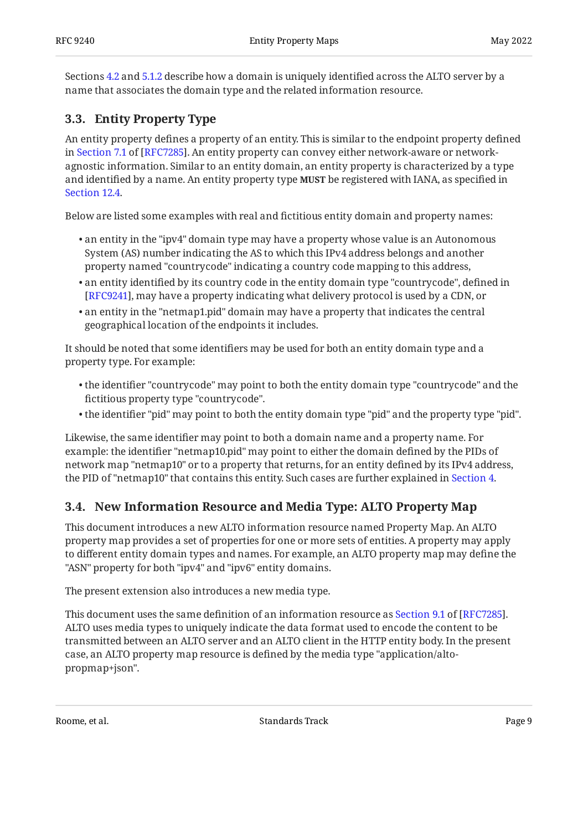Sections [4.2](#page-9-2) and [5.1.2](#page-16-0) describe how a domain is uniquely identified across the ALTO server by a name that associates the domain type and the related information resource.

# <span id="page-8-0"></span>**[3.3. Entity Property Type](#page-8-0)**

An entity property defines a property of an entity. This is similar to the endpoint property defined inSection 7.1 of [RFC7285]. An entity property can convey either network-aware or networkagnostic information. Similar to an entity domain, an entity property is characterized by a type and identified by a name. An entity property type **MUST** be registered with IANA, as specified in [Section 12.4.](#page-47-0)

Below are listed some examples with real and fictitious entity domain and property names:

- $\bullet$  an entity in the "ipv4" domain type may have a property whose value is an Autonomous System (AS) number indicating the AS to which this IPv4 address belongs and another property named "countrycode" indicating a country code mapping to this address,
- $\bullet$  an entity identified by its country code in the entity domain type "countrycode", defined in [[RFC9241\]](#page-49-3), may have a property indicating what delivery protocol is used by a CDN, or
- $\bullet$  an entity in the "netmap1.pid" domain may have a property that indicates the central geographical location of the endpoints it includes.

It should be noted that some identifiers may be used for both an entity domain type and a property type. For example:

- $\bullet$  the identifier "countrycode" may point to both the entity domain type "countrycode" and the fictitious property type "countrycode".
- $\bullet$  the identifier "pid" may point to both the entity domain type "pid" and the property type "pid".

Likewise, the same identifier may point to both a domain name and a property name. For example: the identifier "netmap10.pid" may point to either the domain defined by the PIDs of network map "netmap10" or to a property that returns, for an entity defined by its IPv4 address, the PID of "netmap10" that contains this entity. Such cases are further explained in [Section 4](#page-9-0).

# <span id="page-8-1"></span>**[3.4. New Information Resource and Media Type: ALTO Property Map](#page-8-1)**

This document introduces a new ALTO information resource named Property Map. An ALTO property map provides a set of properties for one or more sets of entities. A property may apply to different entity domain types and names. For example, an ALTO property map may define the "ASN" property for both "ipv4" and "ipv6" entity domains.

The present extension also introduces a new media type.

Thisdocument uses the same definition of an information resource as Section 9.1 of [RFC7285]. ALTO uses media types to uniquely indicate the data format used to encode the content to be transmitted between an ALTO server and an ALTO client in the HTTP entity body. In the present case, an ALTO property map resource is defined by the media type "application/altopropmap+json".

Roome, et al. North and the Standards Track Community of the Standards Track Page 9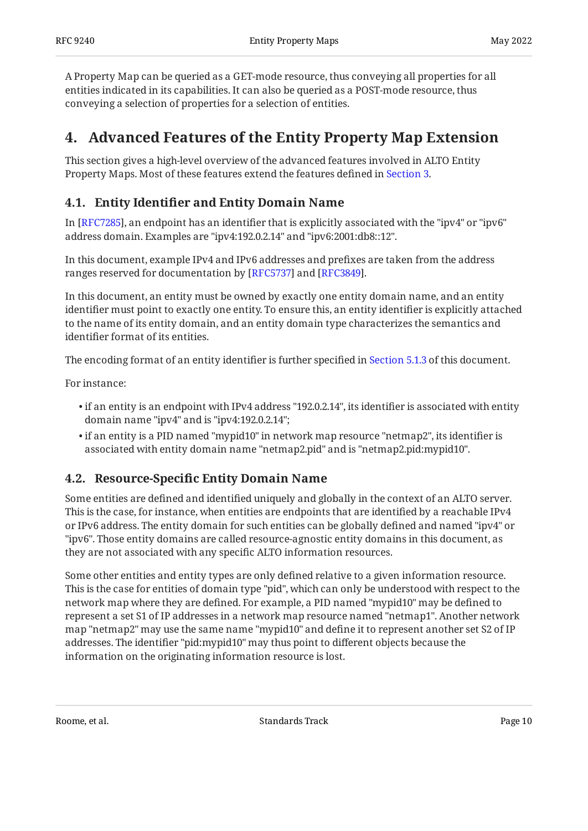A Property Map can be queried as a GET-mode resource, thus conveying all properties for all entities indicated in its capabilities. It can also be queried as a POST-mode resource, thus conveying a selection of properties for a selection of entities.

# <span id="page-9-0"></span>**[4. Advanced Features of the Entity Property Map Extension](#page-9-0)**

This section gives a high-level overview of the advanced features involved in ALTO Entity Property Maps. Most of these features extend the features defined in [Section 3](#page-6-1).

# <span id="page-9-1"></span>**[4.1. E](#page-9-1)ntity Identifi[er and Entity Domain Name](#page-9-1)**

In [RFC7285], an endpoint has an identifier that is explicitly associated with the "ipv4" or "ipv6"  $\,$ address domain. Examples are "ipv4:192.0.2.14" and "ipv6:2001:db8::12".

In this document, example IPv4 and IPv6 addresses and prefixes are taken from the address ranges reserved for documentation by [RFC5737] and [RFC3849].

In this document, an entity must be owned by exactly one entity domain name, and an entity identifier must point to exactly one entity. To ensure this, an entity identifier is explicitly attached to the name of its entity domain, and an entity domain type characterizes the semantics and identifier format of its entities.

The encoding format of an entity identifier is further specified in [Section 5.1.3](#page-18-0) of this document.

For instance:

- $\bullet$  if an entity is an endpoint with IPv4 address "192.0.2.14", its identifier is associated with entity domain name "ipv4" and is "ipv4:192.0.2.14";
- $\bullet$  if an entity is a PID named "mypid10" in network map resource "netmap2", its identifier is associated with entity domain name "netmap2.pid" and is "netmap2.pid:mypid10".

# <span id="page-9-2"></span>**[4.2. R](#page-9-2)esource-Specifi[c Entity Domain Name](#page-9-2)**

Some entities are defined and identified uniquely and globally in the context of an ALTO server. This is the case, for instance, when entities are endpoints that are identified by a reachable IPv4 or IPv6 address. The entity domain for such entities can be globally defined and named "ipv4" or "ipv6". Those entity domains are called resource-agnostic entity domains in this document, as they are not associated with any specific ALTO information resources.

Some other entities and entity types are only defined relative to a given information resource. This is the case for entities of domain type "pid", which can only be understood with respect to the network map where they are defined. For example, a PID named "mypid10" may be defined to represent a set S1 of IP addresses in a network map resource named "netmap1". Another network map "netmap2" may use the same name "mypid10" and define it to represent another set S2 of IP addresses. The identifier "pid:mypid10" may thus point to different objects because the information on the originating information resource is lost.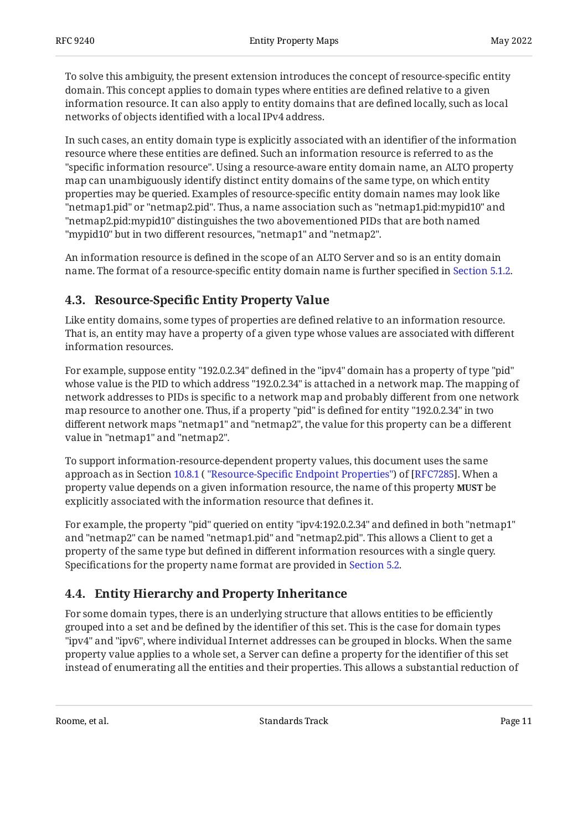To solve this ambiguity, the present extension introduces the concept of resource-specific entity domain. This concept applies to domain types where entities are defined relative to a given information resource. It can also apply to entity domains that are defined locally, such as local networks of objects identified with a local IPv4 address.

In such cases, an entity domain type is explicitly associated with an identifier of the information resource where these entities are defined. Such an information resource is referred to as the "specific information resource". Using a resource-aware entity domain name, an ALTO property map can unambiguously identify distinct entity domains of the same type, on which entity properties may be queried. Examples of resource-specific entity domain names may look like "netmap1.pid" or "netmap2.pid". Thus, a name association such as "netmap1.pid:mypid10" and "netmap2.pid:mypid10" distinguishes the two abovementioned PIDs that are both named "mypid10" but in two different resources, "netmap1" and "netmap2".

An information resource is defined in the scope of an ALTO Server and so is an entity domain name. The format of a resource-specific entity domain name is further specified in [Section 5.1.2.](#page-16-0)

# <span id="page-10-0"></span>**[4.3. R](#page-10-0)esource-Specifi[c Entity Property Value](#page-10-0)**

Like entity domains, some types of properties are defined relative to an information resource. That is, an entity may have a property of a given type whose values are associated with different information resources.

For example, suppose entity "192.0.2.34" defined in the "ipv4" domain has a property of type "pid" whose value is the PID to which address "192.0.2.34" is attached in a network map. The mapping of network addresses to PIDs is specific to a network map and probably different from one network map resource to another one. Thus, if a property "pid" is defined for entity "192.0.2.34" in two different network maps "netmap1" and "netmap2", the value for this property can be a different value in "netmap1" and "netmap2".

To support information-resource-dependent property values, this document uses the same approachas in Section 10.8.1 ( "Resource-Specific Endpoint Properties") of [RFC7285]. When a property value depends on a given information resource, the name of this property **MUST** be explicitly associated with the information resource that defines it.

For example, the property "pid" queried on entity "ipv4:192.0.2.34" and defined in both "netmap1" and "netmap2" can be named "netmap1.pid" and "netmap2.pid". This allows a Client to get a property of the same type but defined in different information resources with a single query. Specifications for the property name format are provided in [Section 5.2](#page-18-2).

# <span id="page-10-1"></span>**[4.4. Entity Hierarchy and Property Inheritance](#page-10-1)**

For some domain types, there is an underlying structure that allows entities to be efficiently grouped into a set and be defined by the identifier of this set. This is the case for domain types "ipv4" and "ipv6", where individual Internet addresses can be grouped in blocks. When the same property value applies to a whole set, a Server can define a property for the identifier of this set instead of enumerating all the entities and their properties. This allows a substantial reduction of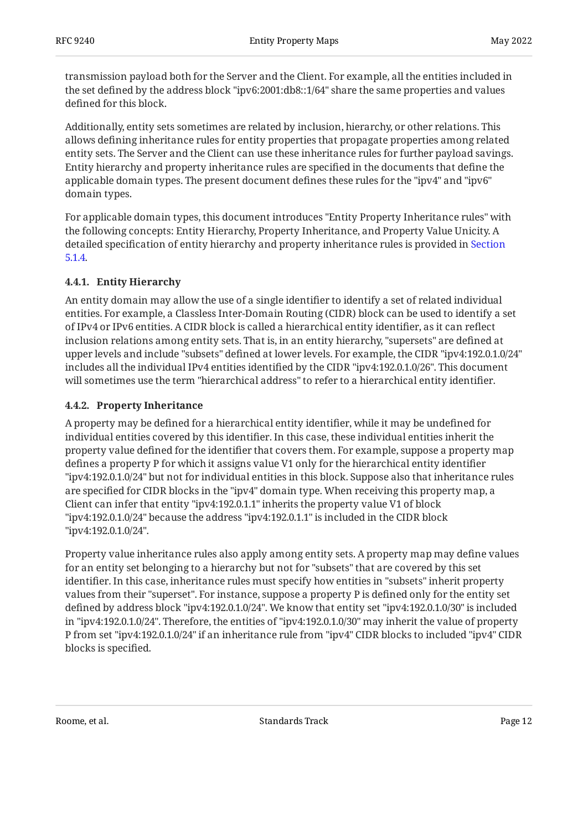transmission payload both for the Server and the Client. For example, all the entities included in the set defined by the address block "ipv6:2001:db8::1/64" share the same properties and values defined for this block.

Additionally, entity sets sometimes are related by inclusion, hierarchy, or other relations. This allows defining inheritance rules for entity properties that propagate properties among related entity sets. The Server and the Client can use these inheritance rules for further payload savings. Entity hierarchy and property inheritance rules are specified in the documents that define the applicable domain types. The present document defines these rules for the "ipv4" and "ipv6" domain types.

For applicable domain types, this document introduces "Entity Property Inheritance rules" with the following concepts: Entity Hierarchy, Property Inheritance, and Property Value Unicity. A detailed specification of entity hierarchy and property inheritance rules is provided in [Section](#page-18-1) [5.1.4](#page-18-1).

### <span id="page-11-0"></span>**[4.4.1. Entity Hierarchy](#page-11-0)**

An entity domain may allow the use of a single identifier to identify a set of related individual entities. For example, a Classless Inter-Domain Routing (CIDR) block can be used to identify a set of IPv4 or IPv6 entities. A CIDR block is called a hierarchical entity identifier, as it can reflect inclusion relations among entity sets. That is, in an entity hierarchy, "supersets" are defined at upper levels and include "subsets" defined at lower levels. For example, the CIDR "ipv4:192.0.1.0/24" includes all the individual IPv4 entities identified by the CIDR "ipv4:192.0.1.0/26". This document will sometimes use the term "hierarchical address" to refer to a hierarchical entity identifier.

### <span id="page-11-1"></span>**[4.4.2. Property Inheritance](#page-11-1)**

A property may be defined for a hierarchical entity identifier, while it may be undefined for individual entities covered by this identifier. In this case, these individual entities inherit the property value defined for the identifier that covers them. For example, suppose a property map defines a property P for which it assigns value V1 only for the hierarchical entity identifier "ipv4:192.0.1.0/24" but not for individual entities in this block. Suppose also that inheritance rules are specified for CIDR blocks in the "ipv4" domain type. When receiving this property map, a Client can infer that entity "ipv4:192.0.1.1" inherits the property value V1 of block "ipv4:192.0.1.0/24" because the address "ipv4:192.0.1.1" is included in the CIDR block "ipv4:192.0.1.0/24".

Property value inheritance rules also apply among entity sets. A property map may define values for an entity set belonging to a hierarchy but not for "subsets" that are covered by this set identifier. In this case, inheritance rules must specify how entities in "subsets" inherit property values from their "superset". For instance, suppose a property P is defined only for the entity set defined by address block "ipv4:192.0.1.0/24". We know that entity set "ipv4:192.0.1.0/30" is included in "ipv4:192.0.1.0/24". Therefore, the entities of "ipv4:192.0.1.0/30" may inherit the value of property P from set "ipv4:192.0.1.0/24" if an inheritance rule from "ipv4" CIDR blocks to included "ipv4" CIDR blocks is specified.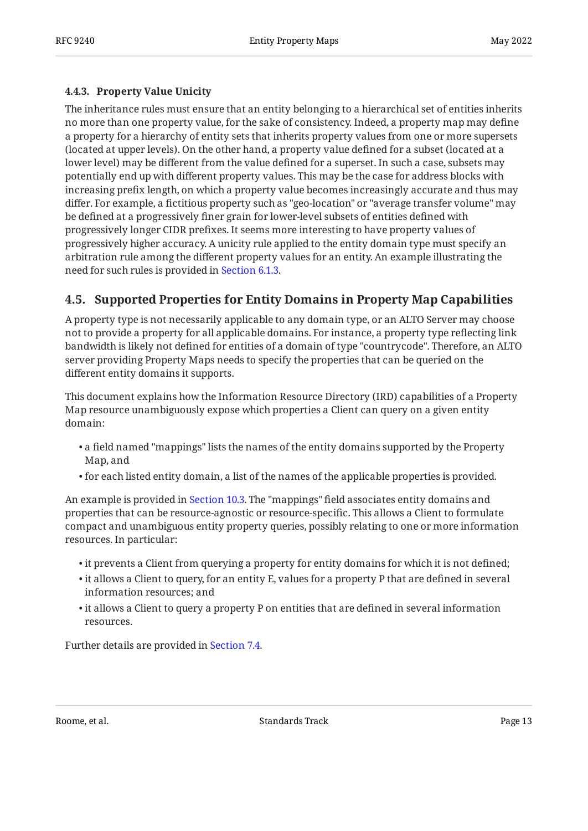### <span id="page-12-0"></span>**[4.4.3. Property Value Unicity](#page-12-0)**

The inheritance rules must ensure that an entity belonging to a hierarchical set of entities inherits no more than one property value, for the sake of consistency. Indeed, a property map may define a property for a hierarchy of entity sets that inherits property values from one or more supersets (located at upper levels). On the other hand, a property value defined for a subset (located at a lower level) may be different from the value defined for a superset. In such a case, subsets may potentially end up with different property values. This may be the case for address blocks with increasing prefix length, on which a property value becomes increasingly accurate and thus may differ. For example, a fictitious property such as "geo-location" or "average transfer volume" may be defined at a progressively finer grain for lower-level subsets of entities defined with progressively longer CIDR prefixes. It seems more interesting to have property values of progressively higher accuracy. A unicity rule applied to the entity domain type must specify an arbitration rule among the different property values for an entity. An example illustrating the need for such rules is provided in [Section 6.1.3.](#page-21-1)

# <span id="page-12-1"></span>**[4.5. Supported Properties for Entity Domains in Property Map Capabilities](#page-12-1)**

A property type is not necessarily applicable to any domain type, or an ALTO Server may choose not to provide a property for all applicable domains. For instance, a property type reflecting link bandwidth is likely not defined for entities of a domain of type "countrycode". Therefore, an ALTO server providing Property Maps needs to specify the properties that can be queried on the different entity domains it supports.

This document explains how the Information Resource Directory (IRD) capabilities of a Property Map resource unambiguously expose which properties a Client can query on a given entity domain:

- $\bullet$  a field named "mappings" lists the names of the entity domains supported by the Property Map, and
- $\bullet$  for each listed entity domain, a list of the names of the applicable properties is provided.

An example is provided in [Section 10.3.](#page-32-0) The "mappings" field associates entity domains and properties that can be resource-agnostic or resource-specific. This allows a Client to formulate compact and unambiguous entity property queries, possibly relating to one or more information resources. In particular:

- $\bullet$  it prevents a Client from querying a property for entity domains for which it is not defined;
- $\bullet$  it allows a Client to query, for an entity E, values for a property P that are defined in several information resources; and
- $\bullet$  it allows a Client to query a property P on entities that are defined in several information resources.

Further details are provided in [Section 7.4](#page-24-3).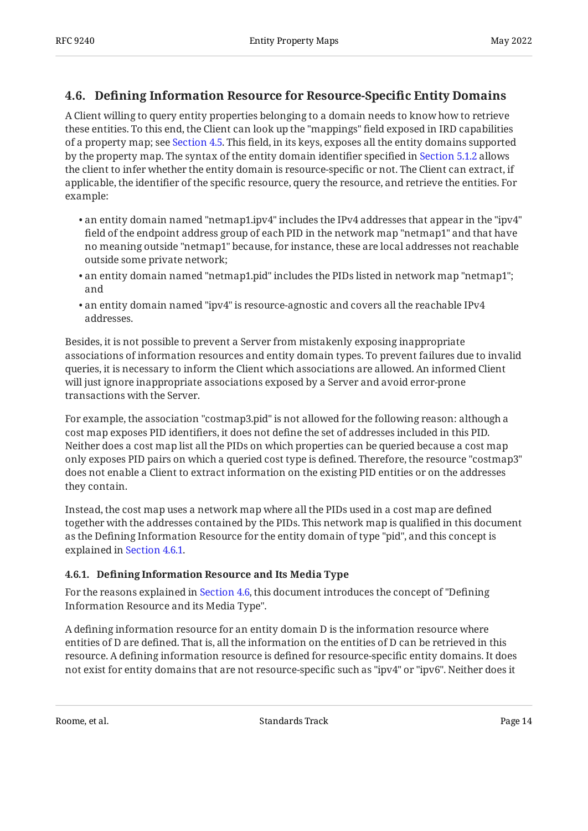# <span id="page-13-0"></span>**[4.6. D](#page-13-0)efi[ning Information Resource for Resource-Speci](#page-13-0)fic Entity Domains**

A Client willing to query entity properties belonging to a domain needs to know how to retrieve these entities. To this end, the Client can look up the "mappings" field exposed in IRD capabilities of a property map; see [Section 4.5.](#page-12-1) This field, in its keys, exposes all the entity domains supported by the property map. The syntax of the entity domain identifier specified in [Section 5.1.2](#page-16-0) allows the client to infer whether the entity domain is resource-specific or not. The Client can extract, if applicable, the identifier of the specific resource, query the resource, and retrieve the entities. For example:

- $\bullet$  an entity domain named "netmap1.ipv4" includes the IPv4 addresses that appear in the "ipv4" field of the endpoint address group of each PID in the network map "netmap1" and that have no meaning outside "netmap1" because, for instance, these are local addresses not reachable outside some private network;
- $\bullet$  an entity domain named "netmap1.pid" includes the PIDs listed in network map "netmap1"; and
- $\bullet$  an entity domain named "ipv4" is resource-agnostic and covers all the reachable IPv4 addresses.

Besides, it is not possible to prevent a Server from mistakenly exposing inappropriate associations of information resources and entity domain types. To prevent failures due to invalid queries, it is necessary to inform the Client which associations are allowed. An informed Client will just ignore inappropriate associations exposed by a Server and avoid error-prone transactions with the Server.

For example, the association "costmap3.pid" is not allowed for the following reason: although a cost map exposes PID identifiers, it does not define the set of addresses included in this PID. Neither does a cost map list all the PIDs on which properties can be queried because a cost map only exposes PID pairs on which a queried cost type is defined. Therefore, the resource "costmap3" does not enable a Client to extract information on the existing PID entities or on the addresses they contain.

Instead, the cost map uses a network map where all the PIDs used in a cost map are defined together with the addresses contained by the PIDs. This network map is qualified in this document as the Defining Information Resource for the entity domain of type "pid", and this concept is explained in [Section 4.6.1](#page-13-1).

### <span id="page-13-1"></span>**[4.6.1. D](#page-13-1)efi[ning Information Resource and Its Media Type](#page-13-1)**

For the reasons explained in [Section 4.6](#page-13-0), this document introduces the concept of "Defining Information Resource and its Media Type".

A defining information resource for an entity domain D is the information resource where entities of D are defined. That is, all the information on the entities of D can be retrieved in this resource. A defining information resource is defined for resource-specific entity domains. It does not exist for entity domains that are not resource-specific such as "ipv4" or "ipv6". Neither does it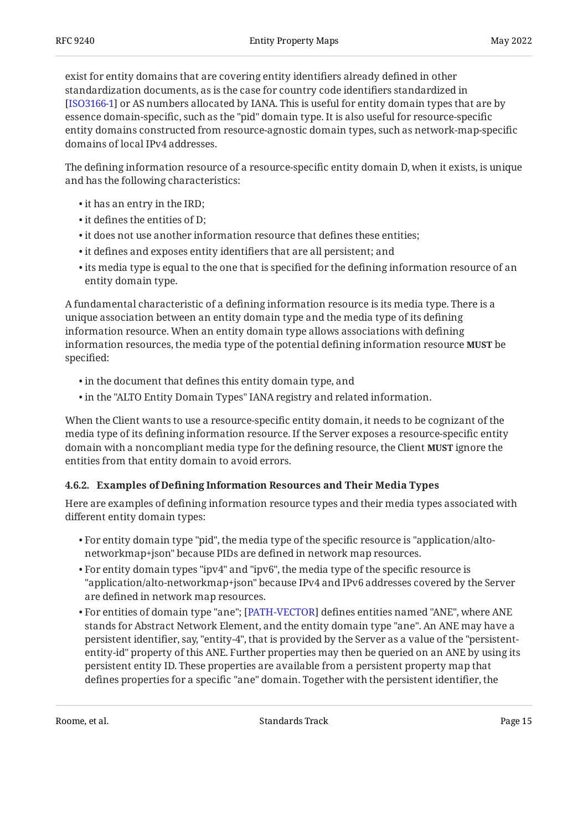exist for entity domains that are covering entity identifiers already defined in other standardization documents, as is the case for country code identifiers standardized in [[ISO3166-1\]](#page-48-4) or AS numbers allocated by IANA. This is useful for entity domain types that are by essence domain-specific, such as the "pid" domain type. It is also useful for resource-specific entity domains constructed from resource-agnostic domain types, such as network-map-specific domains of local IPv4 addresses.

The defining information resource of a resource-specific entity domain D, when it exists, is unique and has the following characteristics:

- $\bullet$  it has an entry in the IRD;
- $\bullet$  it defines the entities of D;
- it does not use another information resource that defines these entities; •
- it defines and exposes entity identifiers that are all persistent; and •
- $\bullet$  its media type is equal to the one that is specified for the defining information resource of an entity domain type.

A fundamental characteristic of a defining information resource is its media type. There is a unique association between an entity domain type and the media type of its defining information resource. When an entity domain type allows associations with defining information resources, the media type of the potential defining information resource **MUST** be specified:

- $\bullet$  in the document that defines this entity domain type, and  $\,$
- in the "ALTO Entity Domain Types" IANA registry and related information. •

When the Client wants to use a resource-specific entity domain, it needs to be cognizant of the media type of its defining information resource. If the Server exposes a resource-specific entity domain with a noncompliant media type for the defining resource, the Client **MUST** ignore the entities from that entity domain to avoid errors.

#### <span id="page-14-0"></span>**[4.6.2. E](#page-14-0)xamples of Defi[ning Information Resources and Their Media Types](#page-14-0)**

Here are examples of defining information resource types and their media types associated with different entity domain types:

- $\bullet$  For entity domain type "pid", the media type of the specific resource is "application/altonetworkmap+json" because PIDs are defined in network map resources.
- $\bullet$  For entity domain types "ipv4" and "ipv6", the media type of the specific resource is "application/alto-networkmap+json" because IPv4 and IPv6 addresses covered by the Server are defined in network map resources.
- $\bullet$  For entities of domain type "ane"; [[PATH-VECTOR](#page-49-1)] defines entities named "ANE", where ANE stands for Abstract Network Element, and the entity domain type "ane". An ANE may have a persistent identifier, say, "entity-4", that is provided by the Server as a value of the "persistententity-id" property of this ANE. Further properties may then be queried on an ANE by using its persistent entity ID. These properties are available from a persistent property map that defines properties for a specific "ane" domain. Together with the persistent identifier, the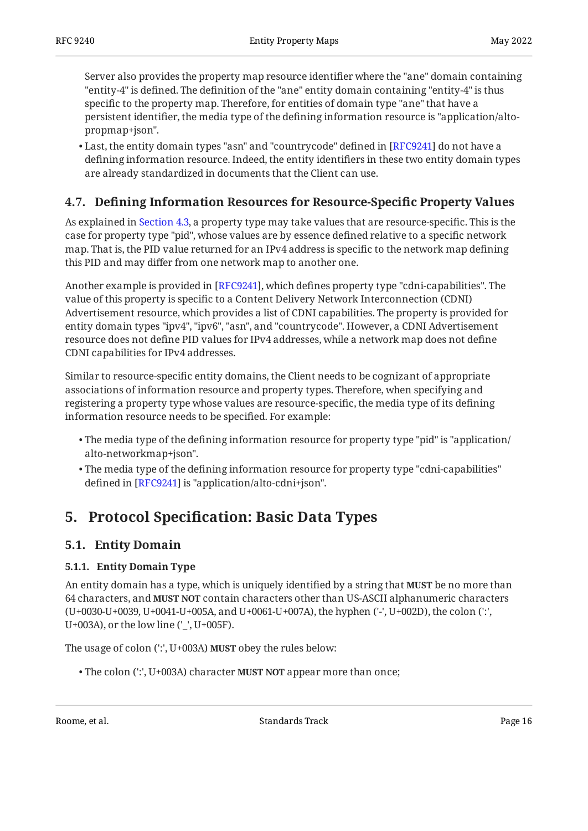Server also provides the property map resource identifier where the "ane" domain containing "entity-4" is defined. The definition of the "ane" entity domain containing "entity-4" is thus specific to the property map. Therefore, for entities of domain type "ane" that have a persistent identifier, the media type of the defining information resource is "application/altopropmap+json".

 $\bullet$  Last, the entity domain types "asn" and "countrycode" defined in [RFC9241] do not have a defining information resource. Indeed, the entity identifiers in these two entity domain types are already standardized in documents that the Client can use.

# <span id="page-15-0"></span>**[4.7. D](#page-15-0)efi[ning Information Resources for Resource-Speci](#page-15-0)fic Property Values**

As explained in [Section 4.3](#page-10-0), a property type may take values that are resource-specific. This is the case for property type "pid", whose values are by essence defined relative to a specific network map. That is, the PID value returned for an IPv4 address is specific to the network map defining this PID and may differ from one network map to another one.

Another example is provided in [\[RFC9241\]](#page-49-3), which defines property type "cdni-capabilities". The value of this property is specific to a Content Delivery Network Interconnection (CDNI) Advertisement resource, which provides a list of CDNI capabilities. The property is provided for entity domain types "ipv4", "ipv6", "asn", and "countrycode". However, a CDNI Advertisement resource does not define PID values for IPv4 addresses, while a network map does not define CDNI capabilities for IPv4 addresses.

Similar to resource-specific entity domains, the Client needs to be cognizant of appropriate associations of information resource and property types. Therefore, when specifying and registering a property type whose values are resource-specific, the media type of its defining information resource needs to be specified. For example:

- $\bullet$  The media type of the defining information resource for property type "pid" is "application/ alto-networkmap+json".
- $\bullet$  The media type of the defining information resource for property type "cdni-capabilities" defined in [[RFC9241\]](#page-49-3) is "application/alto-cdni+json".

# <span id="page-15-2"></span><span id="page-15-1"></span>**[5. P](#page-15-1)rotocol Specifi[cation: Basic Data Types](#page-15-1)**

## <span id="page-15-3"></span>**[5.1. Entity Domain](#page-15-2)**

### **[5.1.1. Entity Domain Type](#page-15-3)**

An entity domain has a type, which is uniquely identified by a string that **MUST** be no more than 64 characters, and **MUST NOT** contain characters other than US-ASCII alphanumeric characters (U+0030-U+0039, U+0041-U+005A, and U+0061-U+007A), the hyphen ('-', U+002D), the colon (':', U+003A), or the low line ('\_', U+005F).

The usage of colon (':', U+003A) **MUST** obey the rules below:

• The colon (':', U+003A) character **MUST NOT** appear more than once;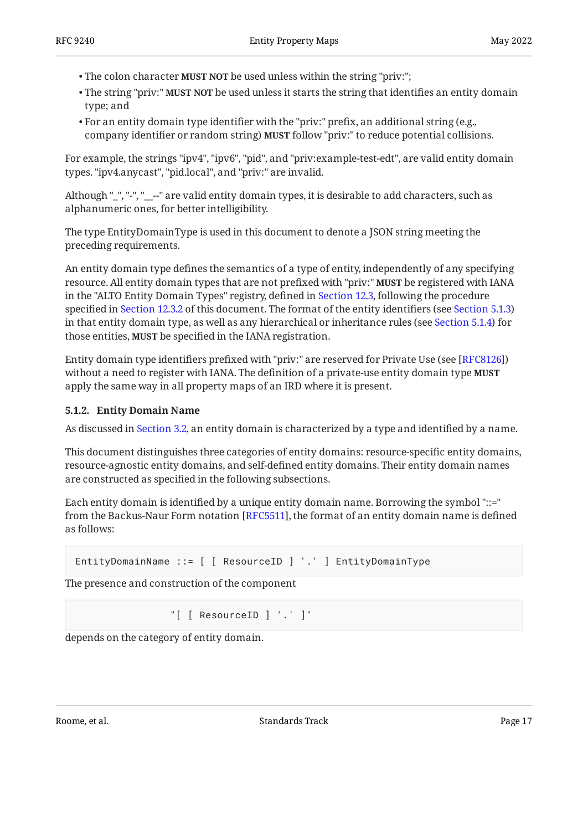- The colon character **MUST NOT** be used unless within the string "priv:";
- $\bullet$  The string "priv:" **MUST NOT** be used unless it starts the string that identifies an entity domain type; and
- For an entity domain type identifier with the "priv:" prefix, an additional string (e.g., company identifier or random string) **MUST** follow "priv:" to reduce potential collisions.

For example, the strings "ipv4", "ipv6", "pid", and "priv:example-test-edt", are valid entity domain types. "ipv4.anycast", "pid.local", and "priv:" are invalid.

Although "\_", "-", "\_\_--" are valid entity domain types, it is desirable to add characters, such as alphanumeric ones, for better intelligibility.

The type EntityDomainType is used in this document to denote a JSON string meeting the preceding requirements.

An entity domain type defines the semantics of a type of entity, independently of any specifying resource. All entity domain types that are not prefixed with "priv:" **MUST** be registered with IANA in the "ALTO Entity Domain Types" registry, defined in [Section 12.3,](#page-44-0) following the procedure specified in [Section 12.3.2](#page-46-0) of this document. The format of the entity identifiers (see [Section 5.1.3\)](#page-18-0) in that entity domain type, as well as any hierarchical or inheritance rules (see [Section 5.1.4\)](#page-18-1) for those entities, **MUST** be specified in the IANA registration.

Entity domain type identifiers prefixed with "priv:" are reserved for Private Use (see [RFC8126]) without a need to register with IANA. The definition of a private-use entity domain type **MUST** apply the same way in all property maps of an IRD where it is present.

### <span id="page-16-0"></span>**[5.1.2. Entity Domain Name](#page-16-0)**

As discussed in [Section 3.2,](#page-7-0) an entity domain is characterized by a type and identified by a name.

This document distinguishes three categories of entity domains: resource-specific entity domains, resource-agnostic entity domains, and self-defined entity domains. Their entity domain names are constructed as specified in the following subsections.

Each entity domain is identified by a unique entity domain name. Borrowing the symbol "::=" from the Backus-Naur Form notation [RFC5511], the format of an entity domain name is defined as follows:

```
EntityDomainName ::= [ [ ResourceID ] '.' ] EntityDomainType
```
The presence and construction of the component

"[ [ ResourceID ] '.' ]"

depends on the category of entity domain.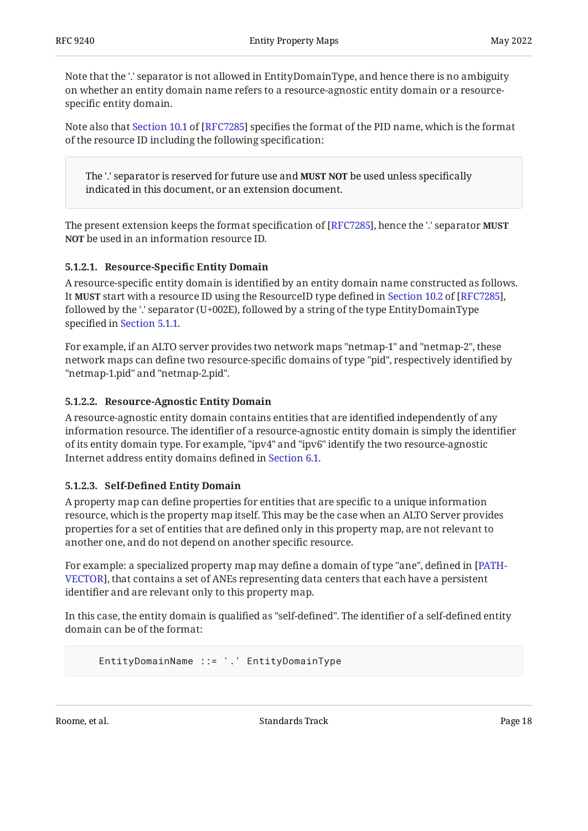Note that the '.' separator is not allowed in EntityDomainType, and hence there is no ambiguity on whether an entity domain name refers to a resource-agnostic entity domain or a resourcespecific entity domain.

Notealso that Section 10.1 of [RFC7285] specifies the format of the PID name, which is the format of the resource ID including the following specification:

The '.' separator is reserved for future use and **MUST NOT** be used unless specifically indicated in this document, or an extension document.

The present extension keeps the format specification of [RFC7285], hence the '.' separator **MUST** be used in an information resource ID. **NOT**

### <span id="page-17-0"></span>**[5.1.2.1.](#page-17-0) Resource-Specifi[c Entity Domain](#page-17-0)**

A resource-specific entity domain is identified by an entity domain name constructed as follows. It**MUST** start with a resource ID using the ResourceID type defined in Section 10.2 of [RFC7285], followed by the '.' separator (U+002E), followed by a string of the type EntityDomainType specified in [Section 5.1.1.](#page-15-3)

For example, if an ALTO server provides two network maps "netmap-1" and "netmap-2", these network maps can define two resource-specific domains of type "pid", respectively identified by "netmap-1.pid" and "netmap-2.pid".

### <span id="page-17-1"></span>**[5.1.2.2. Resource-Agnostic Entity Domain](#page-17-1)**

A resource-agnostic entity domain contains entities that are identified independently of any information resource. The identifier of a resource-agnostic entity domain is simply the identifier of its entity domain type. For example, "ipv4" and "ipv6" identify the two resource-agnostic Internet address entity domains defined in [Section 6.1](#page-20-3).

#### <span id="page-17-2"></span>**[5.1.2.3.](#page-17-2) Self-Defi[ned Entity Domain](#page-17-2)**

A property map can define properties for entities that are specific to a unique information resource, which is the property map itself. This may be the case when an ALTO Server provides properties for a set of entities that are defined only in this property map, are not relevant to another one, and do not depend on another specific resource.

For example: a specialized property map may define a domain of type "ane", defined in [\[PATH-](#page-49-1)[VECTOR\]](#page-49-1), that contains a set of ANEs representing data centers that each have a persistent identifier and are relevant only to this property map.

In this case, the entity domain is qualified as "self-defined". The identifier of a self-defined entity domain can be of the format:

EntityDomainName ::= '.' EntityDomainType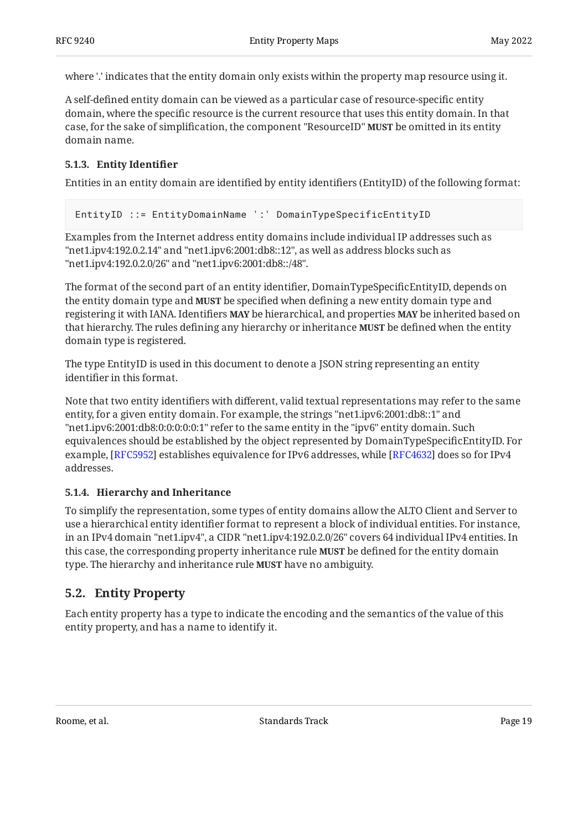where '.' indicates that the entity domain only exists within the property map resource using it.

A self-defined entity domain can be viewed as a particular case of resource-specific entity domain, where the specific resource is the current resource that uses this entity domain. In that case, for the sake of simplification, the component "ResourceID" **MUST** be omitted in its entity domain name.

### <span id="page-18-0"></span>**[5.1.3. Entity Identi](#page-18-0)fier**

Entities in an entity domain are identified by entity identifiers (EntityID) of the following format:

```
EntityID ::= EntityDomainName ':' DomainTypeSpecificEntityID
```
Examples from the Internet address entity domains include individual IP addresses such as "net1.ipv4:192.0.2.14" and "net1.ipv6:2001:db8::12", as well as address blocks such as "net1.ipv4:192.0.2.0/26" and "net1.ipv6:2001:db8::/48".

The format of the second part of an entity identifier, DomainTypeSpecificEntityID, depends on the entity domain type and **MUST** be specified when defining a new entity domain type and registering it with IANA. Identifiers **MAY** be hierarchical, and properties **MAY** be inherited based on that hierarchy. The rules defining any hierarchy or inheritance **MUST** be defined when the entity domain type is registered.

The type EntityID is used in this document to denote a JSON string representing an entity identifier in this format.

Note that two entity identifiers with different, valid textual representations may refer to the same entity, for a given entity domain. For example, the strings "net1.ipv6:2001:db8::1" and "net1.ipv6:2001:db8:0:0:0:0:0:1" refer to the same entity in the "ipv6" entity domain. Such equivalences should be established by the object represented by DomainTypeSpecificEntityID. For example, [RFC5952] establishes equivalence for IPv6 addresses, while [RFC4632] does so for IPv4  $\,$ addresses.

#### <span id="page-18-1"></span>**[5.1.4. Hierarchy and Inheritance](#page-18-1)**

To simplify the representation, some types of entity domains allow the ALTO Client and Server to use a hierarchical entity identifier format to represent a block of individual entities. For instance, in an IPv4 domain "net1.ipv4", a CIDR "net1.ipv4:192.0.2.0/26" covers 64 individual IPv4 entities. In this case, the corresponding property inheritance rule **MUST** be defined for the entity domain type. The hierarchy and inheritance rule **MUST** have no ambiguity.

## <span id="page-18-2"></span>**[5.2. Entity Property](#page-18-2)**

Each entity property has a type to indicate the encoding and the semantics of the value of this entity property, and has a name to identify it.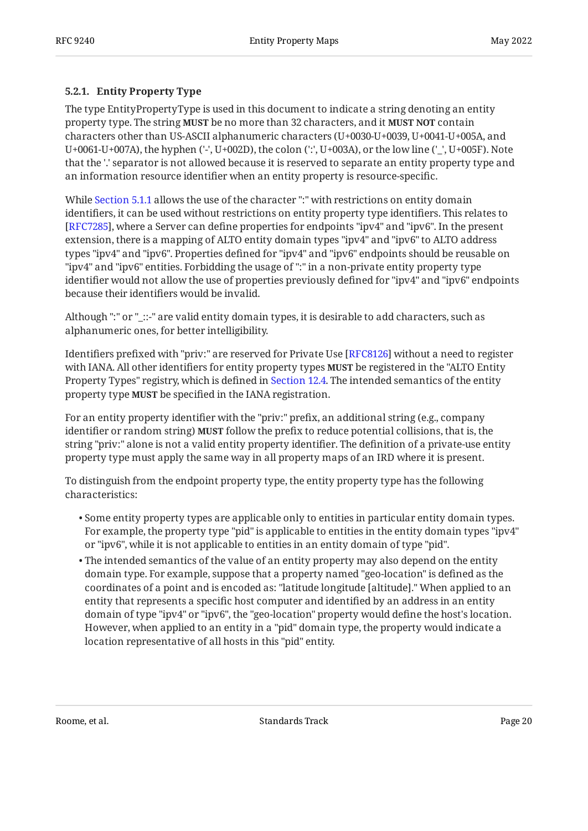### <span id="page-19-0"></span>**[5.2.1. Entity Property Type](#page-19-0)**

The type EntityPropertyType is used in this document to indicate a string denoting an entity property type. The string **MUST** be no more than 32 characters, and it **MUST NOT** contain characters other than US-ASCII alphanumeric characters (U+0030-U+0039, U+0041-U+005A, and U+0061-U+007A), the hyphen ('-', U+002D), the colon (':', U+003A), or the low line ('\_', U+005F). Note that the '.' separator is not allowed because it is reserved to separate an entity property type and an information resource identifier when an entity property is resource-specific.

While [Section 5.1.1](#page-15-3) allows the use of the character ":" with restrictions on entity domain identifiers, it can be used without restrictions on entity property type identifiers. This relates to [[RFC7285\]](#page-48-2), where a Server can define properties for endpoints "ipv4" and "ipv6". In the present extension, there is a mapping of ALTO entity domain types "ipv4" and "ipv6" to ALTO address types "ipv4" and "ipv6". Properties defined for "ipv4" and "ipv6" endpoints should be reusable on "ipv4" and "ipv6" entities. Forbidding the usage of ":" in a non-private entity property type identifier would not allow the use of properties previously defined for "ipv4" and "ipv6" endpoints because their identifiers would be invalid.

Although ":" or "\_::-" are valid entity domain types, it is desirable to add characters, such as alphanumeric ones, for better intelligibility.

Identifiers prefixed with "priv:" are reserved for Private Use [RFC8126] without a need to register with IANA. All other identifiers for entity property types **MUST** be registered in the "ALTO Entity Property Types" registry, which is defined in [Section 12.4.](#page-47-0) The intended semantics of the entity property type **MUST** be specified in the IANA registration.

For an entity property identifier with the "priv:" prefix, an additional string (e.g., company identifier or random string) **MUST** follow the prefix to reduce potential collisions, that is, the string "priv:" alone is not a valid entity property identifier. The definition of a private-use entity property type must apply the same way in all property maps of an IRD where it is present.

To distinguish from the endpoint property type, the entity property type has the following characteristics:

- $\bullet$  Some entity property types are applicable only to entities in particular entity domain types. For example, the property type "pid" is applicable to entities in the entity domain types "ipv4" or "ipv6", while it is not applicable to entities in an entity domain of type "pid".
- $\bullet$  The intended semantics of the value of an entity property may also depend on the entity domain type. For example, suppose that a property named "geo-location" is defined as the coordinates of a point and is encoded as: "latitude longitude [altitude]." When applied to an entity that represents a specific host computer and identified by an address in an entity domain of type "ipv4" or "ipv6", the "geo-location" property would define the host's location. However, when applied to an entity in a "pid" domain type, the property would indicate a location representative of all hosts in this "pid" entity.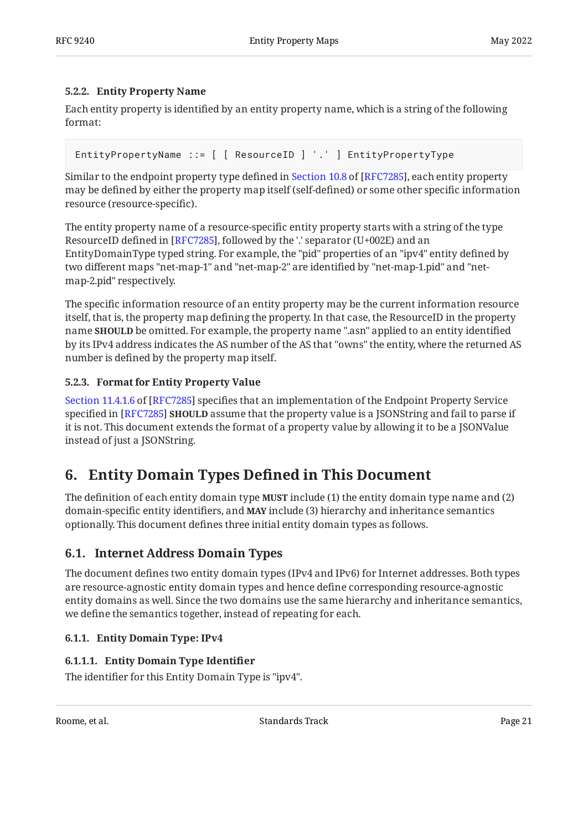### <span id="page-20-0"></span>**[5.2.2. Entity Property Name](#page-20-0)**

Each entity property is identified by an entity property name, which is a string of the following format:

EntityPropertyName ::= [ [ ResourceID ] '.' ] EntityPropertyType

Similarto the endpoint property type defined in Section 10.8 of [RFC7285], each entity property may be defined by either the property map itself (self-defined) or some other specific information resource (resource-specific).

The entity property name of a resource-specific entity property starts with a string of the type ResourceID defined in [RFC7285], followed by the '.' separator (U+002E) and an EntityDomainType typed string. For example, the "pid" properties of an "ipv4" entity defined by two different maps "net-map-1" and "net-map-2" are identified by "net-map-1.pid" and "netmap-2.pid" respectively.

The specific information resource of an entity property may be the current information resource itself, that is, the property map defining the property. In that case, the ResourceID in the property name **SHOULD** be omitted. For example, the property name ".asn" applied to an entity identified by its IPv4 address indicates the AS number of the AS that "owns" the entity, where the returned AS number is defined by the property map itself.

### <span id="page-20-1"></span>**[5.2.3. Format for Entity Property Value](#page-20-1)**

[Section 11.4.1.6](https://www.rfc-editor.org/rfc/rfc7285#section-11.4.1.6) of [\[RFC7285](#page-48-2)] specifies that an implementation of the Endpoint Property Service specified in [RFC7285] **SHOULD** assume that the property value is a JSONString and fail to parse if it is not. This document extends the format of a property value by allowing it to be a JSONValue instead of just a JSONString.

# <span id="page-20-2"></span>**[6. Entity Domain Types De](#page-20-2)fined in This Document**

The definition of each entity domain type **MUST** include (1) the entity domain type name and (2) domain-specific entity identifiers, and **MAY** include (3) hierarchy and inheritance semantics optionally. This document defines three initial entity domain types as follows.

## <span id="page-20-3"></span>**[6.1. Internet Address Domain Types](#page-20-3)**

The document defines two entity domain types (IPv4 and IPv6) for Internet addresses. Both types are resource-agnostic entity domain types and hence define corresponding resource-agnostic entity domains as well. Since the two domains use the same hierarchy and inheritance semantics, we define the semantics together, instead of repeating for each.

### <span id="page-20-4"></span>**[6.1.1. Entity Domain Type: IPv4](#page-20-4)**

## <span id="page-20-5"></span>**[6.1.1.1. Entity Domain Type Identi](#page-20-5)fier**

The identifier for this Entity Domain Type is "ipv4".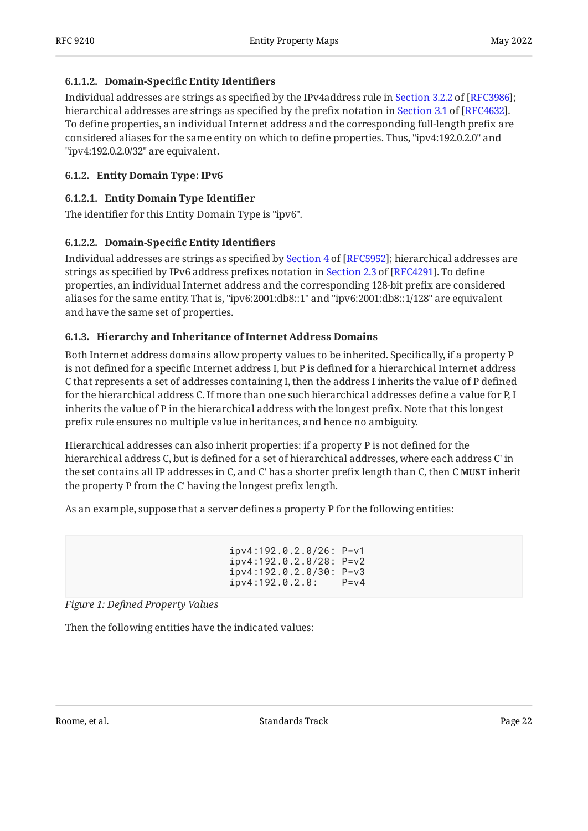#### <span id="page-21-2"></span>**[6.1.1.2.](#page-21-2) Domain-Specifi[c Entity Identi](#page-21-2)fiers**

Individualaddresses are strings as specified by the IPv4address rule in Section 3.2.2 of [RFC3986]; hierarchicaladdresses are strings as specified by the prefix notation in Section 3.1 of [RFC4632]. To define properties, an individual Internet address and the corresponding full-length prefix are considered aliases for the same entity on which to define properties. Thus, "ipv4:192.0.2.0" and "ipv4:192.0.2.0/32" are equivalent.

### <span id="page-21-0"></span>**[6.1.2. Entity Domain Type: IPv6](#page-21-0)**

### <span id="page-21-3"></span>**[6.1.2.1. Entity Domain Type Identi](#page-21-3)fier**

The identifier for this Entity Domain Type is "ipv6".

### <span id="page-21-4"></span>**[6.1.2.2.](#page-21-4) Domain-Specifi[c Entity Identi](#page-21-4)fiers**

Individualaddresses are strings as specified by Section 4 of [RFC5952]; hierarchical addresses are stringsas specified by IPv6 address prefixes notation in Section 2.3 of [RFC4291]. To define properties, an individual Internet address and the corresponding 128-bit prefix are considered aliases for the same entity. That is, "ipv6:2001:db8::1" and "ipv6:2001:db8::1/128" are equivalent and have the same set of properties.

### <span id="page-21-1"></span>**[6.1.3. Hierarchy and Inheritance of Internet Address Domains](#page-21-1)**

Both Internet address domains allow property values to be inherited. Specifically, if a property P is not defined for a specific Internet address I, but P is defined for a hierarchical Internet address C that represents a set of addresses containing I, then the address I inherits the value of P defined for the hierarchical address C. If more than one such hierarchical addresses define a value for P, I inherits the value of P in the hierarchical address with the longest prefix. Note that this longest prefix rule ensures no multiple value inheritances, and hence no ambiguity.

Hierarchical addresses can also inherit properties: if a property P is not defined for the hierarchical address C, but is defined for a set of hierarchical addresses, where each address C' in the set contains all IP addresses in C, and C' has a shorter prefix length than C, then C **MUST** inherit the property P from the C' having the longest prefix length.

<span id="page-21-5"></span>As an example, suppose that a server defines a property P for the following entities:

 ipv4:192.0.2.0/26: P=v1 ipv4:192.0.2.0/28: P=v2 ipv4:192.0.2.0/30: P=v3 ipv4:192.0.2.0: P=v4

*[Figure 1:](#page-21-5) Defi[ned Property Values](#page-21-5)* 

<span id="page-21-6"></span>Then the following entities have the indicated values: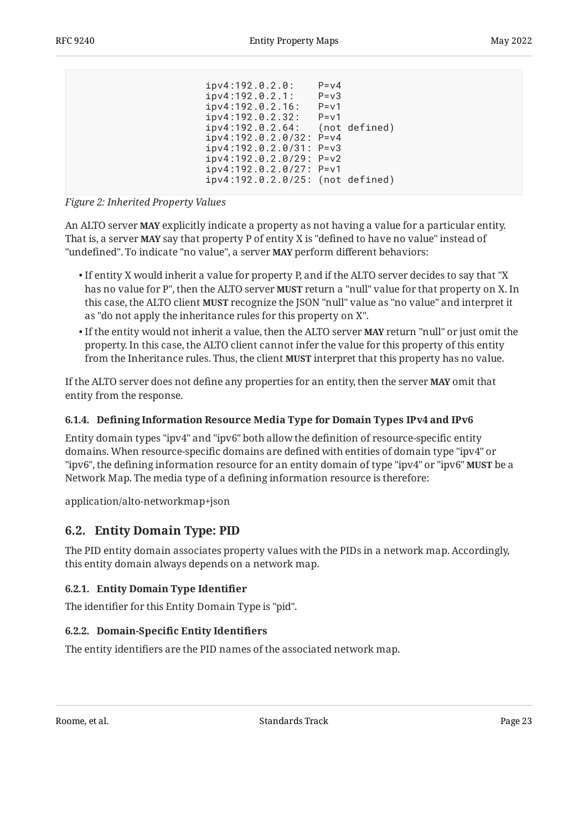<span id="page-22-4"></span>

| ipv4:192.0.2.64: (not defined)   |
|----------------------------------|
|                                  |
|                                  |
|                                  |
|                                  |
| ipv4:192.0.2.0/25: (not defined) |
|                                  |
|                                  |

*[Figure 2:](#page-22-4) [Inherited Property Values](#page-21-6)* 

An ALTO server **MAY** explicitly indicate a property as not having a value for a particular entity. That is, a server **MAY** say that property P of entity X is "defined to have no value" instead of "undefined". To indicate "no value", a server **MAY** perform different behaviors:

- $\bullet$  If entity X would inherit a value for property P, and if the ALTO server decides to say that "X has no value for P", then the ALTO server **MUST** return a "null" value for that property on X. In this case, the ALTO client **MUST** recognize the JSON "null" value as "no value" and interpret it as "do not apply the inheritance rules for this property on X".
- If the entity would not inherit a value, then the ALTO server **MAY** return "null" or just omit the property. In this case, the ALTO client cannot infer the value for this property of this entity from the Inheritance rules. Thus, the client **MUST** interpret that this property has no value.

If the ALTO server does not define any properties for an entity, then the server **MAY** omit that entity from the response.

### <span id="page-22-0"></span>**[6.1.4. D](#page-22-0)efi[ning Information Resource Media Type for Domain Types IPv4 and IPv6](#page-22-0)**

Entity domain types "ipv4" and "ipv6" both allow the definition of resource-specific entity domains. When resource-specific domains are defined with entities of domain type "ipv4" or "ipv6", the defining information resource for an entity domain of type "ipv4" or "ipv6" **MUST** be a Network Map. The media type of a defining information resource is therefore:

<span id="page-22-1"></span>application/alto-networkmap+json

## **[6.2. Entity Domain Type: PID](#page-22-1)**

The PID entity domain associates property values with the PIDs in a network map. Accordingly, this entity domain always depends on a network map.

### <span id="page-22-2"></span>**[6.2.1. Entity Domain Type Identi](#page-22-2)fier**

<span id="page-22-3"></span>The identifier for this Entity Domain Type is "pid".

### **[6.2.2. D](#page-22-3)omain-Specifi[c Entity Identi](#page-22-3)fiers**

The entity identifiers are the PID names of the associated network map.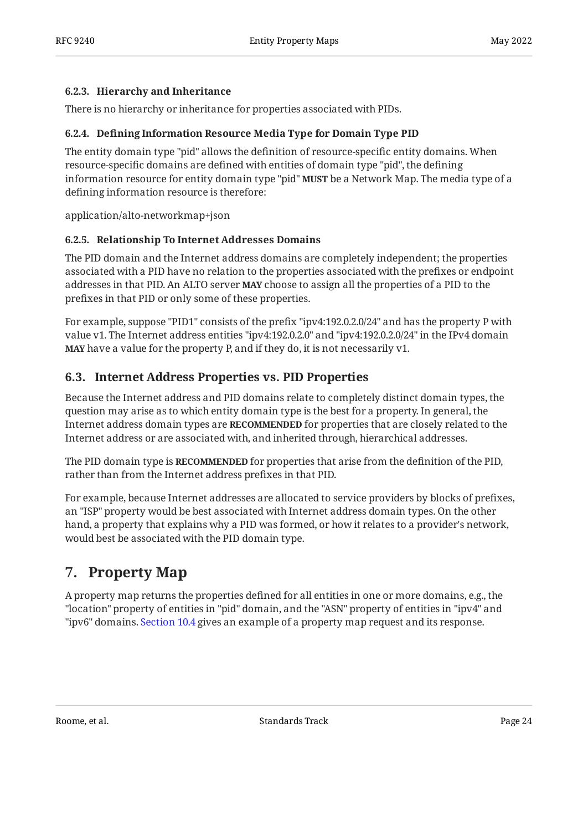#### <span id="page-23-0"></span>**[6.2.3. Hierarchy and Inheritance](#page-23-0)**

<span id="page-23-1"></span>There is no hierarchy or inheritance for properties associated with PIDs.

### **[6.2.4. D](#page-23-1)efi[ning Information Resource Media Type for Domain Type PID](#page-23-1)**

The entity domain type "pid" allows the definition of resource-specific entity domains. When resource-specific domains are defined with entities of domain type "pid", the defining information resource for entity domain type "pid" **MUST** be a Network Map. The media type of a defining information resource is therefore:

<span id="page-23-2"></span>application/alto-networkmap+json

### **[6.2.5. Relationship To Internet Addresses Domains](#page-23-2)**

The PID domain and the Internet address domains are completely independent; the properties associated with a PID have no relation to the properties associated with the prefixes or endpoint addresses in that PID. An ALTO server **MAY** choose to assign all the properties of a PID to the prefixes in that PID or only some of these properties.

For example, suppose "PID1" consists of the prefix "ipv4:192.0.2.0/24" and has the property P with value v1. The Internet address entities "ipv4:192.0.2.0" and "ipv4:192.0.2.0/24" in the IPv4 domain have a value for the property P, and if they do, it is not necessarily v1. **MAY**

## <span id="page-23-3"></span>**[6.3. Internet Address Properties vs. PID Properties](#page-23-3)**

Because the Internet address and PID domains relate to completely distinct domain types, the question may arise as to which entity domain type is the best for a property. In general, the Internet address domain types are **RECOMMENDED** for properties that are closely related to the Internet address or are associated with, and inherited through, hierarchical addresses.

The PID domain type is **RECOMMENDED** for properties that arise from the definition of the PID, rather than from the Internet address prefixes in that PID.

For example, because Internet addresses are allocated to service providers by blocks of prefixes, an "ISP" property would be best associated with Internet address domain types. On the other hand, a property that explains why a PID was formed, or how it relates to a provider's network, would best be associated with the PID domain type.

# <span id="page-23-4"></span>**[7. Property Map](#page-23-4)**

A property map returns the properties defined for all entities in one or more domains, e.g., the "location" property of entities in "pid" domain, and the "ASN" property of entities in "ipv4" and "ipv6" domains. [Section 10.4](#page-34-0) gives an example of a property map request and its response.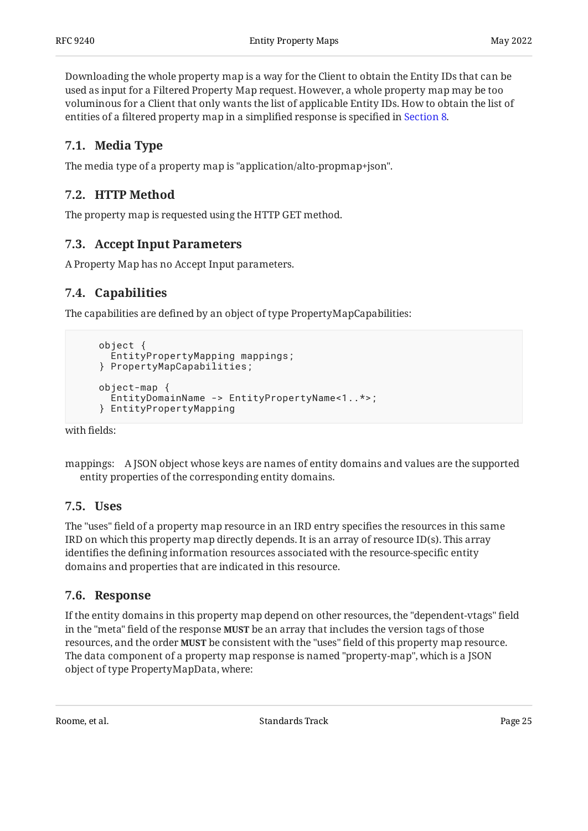Downloading the whole property map is a way for the Client to obtain the Entity IDs that can be used as input for a Filtered Property Map request. However, a whole property map may be too voluminous for a Client that only wants the list of applicable Entity IDs. How to obtain the list of entities of a filtered property map in a simplified response is specified in [Section 8](#page-25-0).

# <span id="page-24-0"></span>**[7.1. Media Type](#page-24-0)**

<span id="page-24-1"></span>The media type of a property map is "application/alto-propmap+json".

## **[7.2. HTTP Method](#page-24-1)**

<span id="page-24-2"></span>The property map is requested using the HTTP GET method.

### **[7.3. Accept Input Parameters](#page-24-2)**

<span id="page-24-3"></span>A Property Map has no Accept Input parameters.

# **[7.4. Capabilities](#page-24-3)**

The capabilities are defined by an object of type PropertyMapCapabilities:

```
 object {
   EntityPropertyMapping mappings;
 } PropertyMapCapabilities;
 object-map {
   EntityDomainName -> EntityPropertyName<1..*>;
 } EntityPropertyMapping
```
with fields:

```
mappings:
A JSON object whose keys are names of entity domains and values are the supported
  entity properties of the corresponding entity domains.
```
### <span id="page-24-4"></span>**[7.5. Uses](#page-24-4)**

The "uses" field of a property map resource in an IRD entry specifies the resources in this same IRD on which this property map directly depends. It is an array of resource ID(s). This array identifies the defining information resources associated with the resource-specific entity domains and properties that are indicated in this resource.

### <span id="page-24-5"></span>**[7.6. Response](#page-24-5)**

If the entity domains in this property map depend on other resources, the "dependent-vtags" field in the "meta" field of the response **MUST** be an array that includes the version tags of those resources, and the order **MUST** be consistent with the "uses" field of this property map resource. The data component of a property map response is named "property-map", which is a JSON object of type PropertyMapData, where: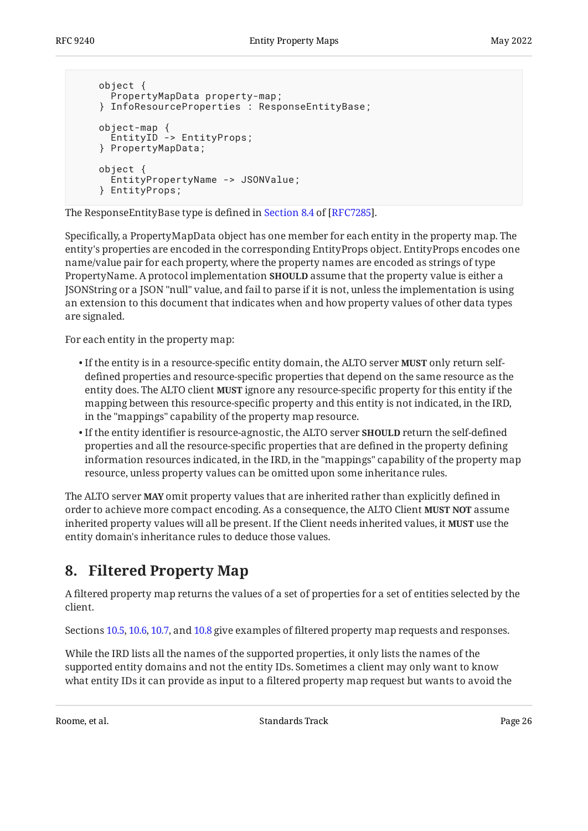```
 object {
      PropertyMapData property-map;
    } InfoResourceProperties : ResponseEntityBase;
 object-map {
 EntityID -> EntityProps;
    } PropertyMapData;
    object {
      EntityPropertyName -> JSONValue;
     } EntityProps;
```
TheResponseEntityBase type is defined in Section 8.4 of [RFC7285].

Specifically, a PropertyMapData object has one member for each entity in the property map. The entity's properties are encoded in the corresponding EntityProps object. EntityProps encodes one name/value pair for each property, where the property names are encoded as strings of type PropertyName. A protocol implementation **SHOULD** assume that the property value is either a JSONString or a JSON "null" value, and fail to parse if it is not, unless the implementation is using an extension to this document that indicates when and how property values of other data types are signaled.

For each entity in the property map:

- $\bullet$  If the entity is in a resource-specific entity domain, the ALTO server **MUST** only return selfdefined properties and resource-specific properties that depend on the same resource as the entity does. The ALTO client **MUST** ignore any resource-specific property for this entity if the mapping between this resource-specific property and this entity is not indicated, in the IRD, in the "mappings" capability of the property map resource.
- $\bullet$  If the entity identifier is resource-agnostic, the ALTO server  $\texttt{SHOULD}$  return the self-defined properties and all the resource-specific properties that are defined in the property defining information resources indicated, in the IRD, in the "mappings" capability of the property map resource, unless property values can be omitted upon some inheritance rules.

The ALTO server **MAY** omit property values that are inherited rather than explicitly defined in order to achieve more compact encoding. As a consequence, the ALTO Client MUST NOT assume inherited property values will all be present. If the Client needs inherited values, it **MUST** use the entity domain's inheritance rules to deduce those values.

# <span id="page-25-0"></span>**[8. Filtered Property Map](#page-25-0)**

A filtered property map returns the values of a set of properties for a set of entities selected by the client.

Sections [10.5,](#page-35-0) [10.6](#page-36-0), [10.7,](#page-37-0) and [10.8](#page-38-0) give examples of filtered property map requests and responses.

While the IRD lists all the names of the supported properties, it only lists the names of the supported entity domains and not the entity IDs. Sometimes a client may only want to know what entity IDs it can provide as input to a filtered property map request but wants to avoid the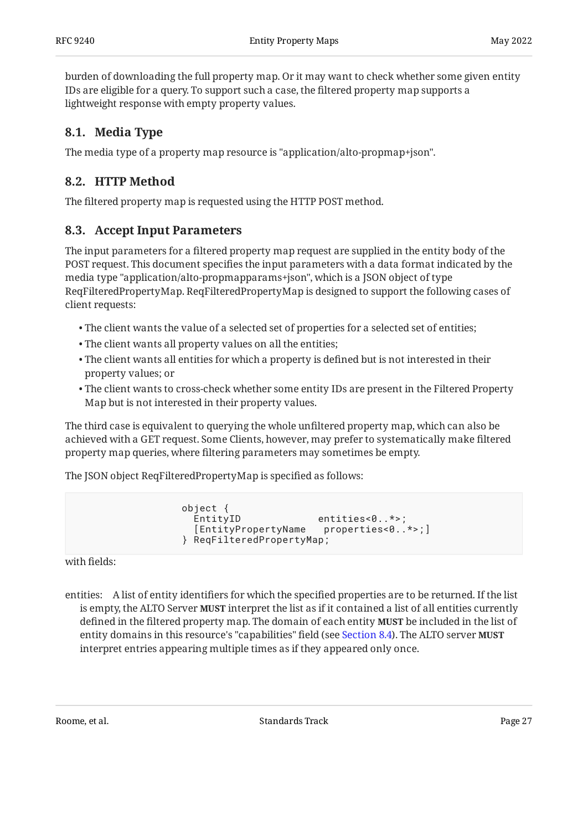burden of downloading the full property map. Or it may want to check whether some given entity IDs are eligible for a query. To support such a case, the filtered property map supports a lightweight response with empty property values.

# <span id="page-26-0"></span>**[8.1. Media Type](#page-26-0)**

<span id="page-26-1"></span>The media type of a property map resource is "application/alto-propmap+json".

## **[8.2. HTTP Method](#page-26-1)**

<span id="page-26-2"></span>The filtered property map is requested using the HTTP POST method.

## **[8.3. Accept Input Parameters](#page-26-2)**

The input parameters for a filtered property map request are supplied in the entity body of the POST request. This document specifies the input parameters with a data format indicated by the media type "application/alto-propmapparams+json", which is a JSON object of type ReqFilteredPropertyMap. ReqFilteredPropertyMap is designed to support the following cases of client requests:

- The client wants the value of a selected set of properties for a selected set of entities; •
- The client wants all property values on all the entities; •
- $\bullet$  The client wants all entities for which a property is defined but is not interested in their property values; or
- $\bullet$  The client wants to cross-check whether some entity IDs are present in the Filtered Property Map but is not interested in their property values.

The third case is equivalent to querying the whole unfiltered property map, which can also be achieved with a GET request. Some Clients, however, may prefer to systematically make filtered property map queries, where filtering parameters may sometimes be empty.

The JSON object ReqFilteredPropertyMap is specified as follows:

```
 object {
                       entities<0..*>:
   [EntityPropertyName properties<0..*>;]
 } ReqFilteredPropertyMap;
```
with fields:

entities: A list of entity identifiers for which the specified properties are to be returned. If the list is empty, the ALTO Server **MUST** interpret the list as if it contained a list of all entities currently defined in the filtered property map. The domain of each entity **MUST** be included in the list of entity domains in this resource's "capabilities" field (see [Section 8.4](#page-27-0)). The ALTO server **MUST** interpret entries appearing multiple times as if they appeared only once.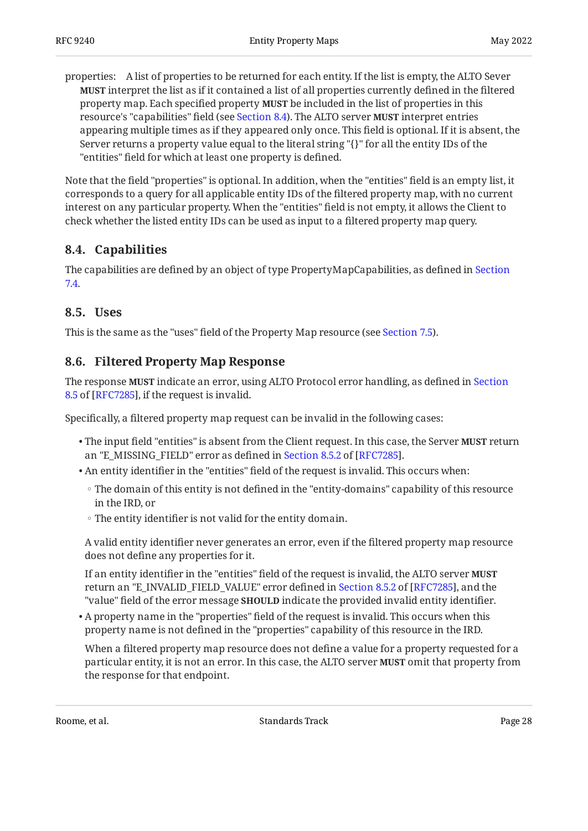properties: A list of properties to be returned for each entity. If the list is empty, the ALTO Sever **MUST** interpret the list as if it contained a list of all properties currently defined in the filtered property map. Each specified property **MUST** be included in the list of properties in this resource's "capabilities" field (see [Section 8.4](#page-27-0)). The ALTO server **MUST** interpret entries appearing multiple times as if they appeared only once. This field is optional. If it is absent, the Server returns a property value equal to the literal string "{}" for all the entity IDs of the "entities" field for which at least one property is defined.

Note that the field "properties" is optional. In addition, when the "entities" field is an empty list, it corresponds to a query for all applicable entity IDs of the filtered property map, with no current interest on any particular property. When the "entities" field is not empty, it allows the Client to check whether the listed entity IDs can be used as input to a filtered property map query.

## <span id="page-27-0"></span>**[8.4. Capabilities](#page-27-0)**

The capabilities are defined by an object of type PropertyMapCapabilities, as defined in [Section](#page-24-3) [7.4.](#page-24-3)

### <span id="page-27-1"></span>**[8.5. Uses](#page-27-1)**

<span id="page-27-2"></span>This is the same as the "uses" field of the Property Map resource (see [Section 7.5\)](#page-24-4).

### **[8.6. Filtered Property Map Response](#page-27-2)**

The response **MUST** indicate an error, using ALTO Protocol error handling, as defined in [Section](https://www.rfc-editor.org/rfc/rfc7285#section-8.5) [8.5](https://www.rfc-editor.org/rfc/rfc7285#section-8.5) of [[RFC7285\]](#page-48-2), if the request is invalid.

Specifically, a filtered property map request can be invalid in the following cases:

- $\bullet$  The input field "entities" is absent from the Client request. In this case, the Server **MUST** return an"E\_MISSING\_FIELD" error as defined in Section 8.5.2 of [RFC7285].
- $\bullet$  An entity identifier in the "entities" field of the request is invalid. This occurs when:
	- The domain of this entity is not defined in the "entity-domains" capability of this resource in the IRD, or
	- The entity identifier is not valid for the entity domain. ◦

A valid entity identifier never generates an error, even if the filtered property map resource does not define any properties for it.

If an entity identifier in the "entities" field of the request is invalid, the ALTO server **MUST** returnan "E\_INVALID\_FIELD\_VALUE" error defined in Section 8.5.2 of [RFC7285], and the "value" field of the error message **SHOULD** indicate the provided invalid entity identifier.

 $\bullet$  A property name in the "properties" field of the request is invalid. This occurs when this property name is not defined in the "properties" capability of this resource in the IRD.

When a filtered property map resource does not define a value for a property requested for a particular entity, it is not an error. In this case, the ALTO server **MUST** omit that property from the response for that endpoint.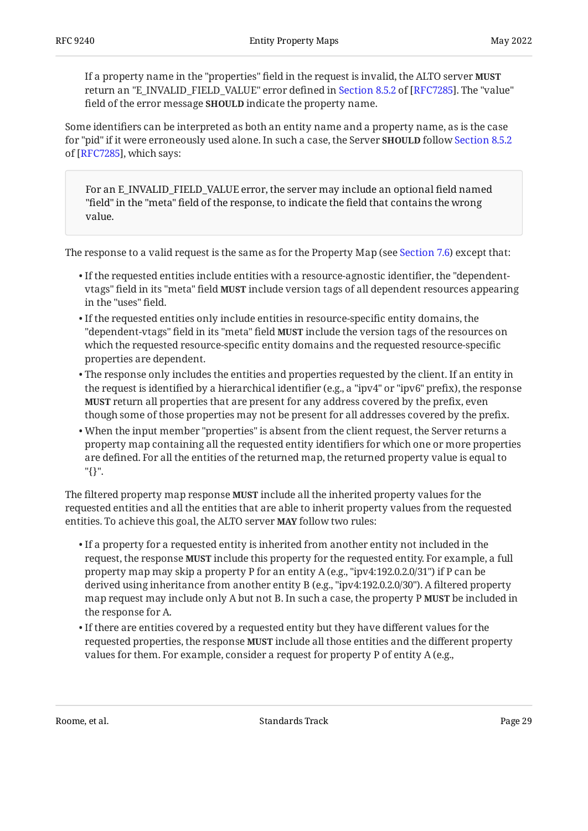If a property name in the "properties" field in the request is invalid, the ALTO server **MUST** returnan "E\_INVALID\_FIELD\_VALUE" error defined in Section 8.5.2 of [RFC7285]. The "value" field of the error message **SHOULD** indicate the property name.

Some identifiers can be interpreted as both an entity name and a property name, as is the case for "pid" if it were erroneously used alone. In such a case, the Server **SHOULD** follow [Section 8.5.2](https://www.rfc-editor.org/rfc/rfc7285#section-8.5.2) of [[RFC7285\]](#page-48-2), which says:

For an E\_INVALID\_FIELD\_VALUE error, the server may include an optional field named "field" in the "meta" field of the response, to indicate the field that contains the wrong value.

The response to a valid request is the same as for the Property Map (see [Section 7.6](#page-24-5)) except that:

- $\bullet$  If the requested entities include entities with a resource-agnostic identifier, the "dependentvtags" field in its "meta" field **MUST** include version tags of all dependent resources appearing in the "uses" field.
- $\bullet$  If the requested entities only include entities in resource-specific entity domains, the "dependent-vtags" field in its "meta" field **MUST** include the version tags of the resources on which the requested resource-specific entity domains and the requested resource-specific properties are dependent.
- $\bullet$  The response only includes the entities and properties requested by the client. If an entity in the request is identified by a hierarchical identifier (e.g., a "ipv4" or "ipv6" prefix), the response **MUST** return all properties that are present for any address covered by the prefix, even though some of those properties may not be present for all addresses covered by the prefix.
- When the input member "properties" is absent from the client request, the Server returns a property map containing all the requested entity identifiers for which one or more properties are defined. For all the entities of the returned map, the returned property value is equal to "{}".

The filtered property map response **MUST** include all the inherited property values for the requested entities and all the entities that are able to inherit property values from the requested entities. To achieve this goal, the ALTO server **MAY** follow two rules:

- $\bullet$  If a property for a requested entity is inherited from another entity not included in the request, the response **MUST** include this property for the requested entity. For example, a full property map may skip a property P for an entity A (e.g., "ipv4:192.0.2.0/31") if P can be derived using inheritance from another entity B (e.g., "ipv4:192.0.2.0/30"). A filtered property map request may include only A but not B. In such a case, the property P **MUST** be included in the response for A.
- $\bullet$  If there are entities covered by a requested entity but they have different values for the requested properties, the response **MUST** include all those entities and the different property values for them. For example, consider a request for property P of entity A (e.g.,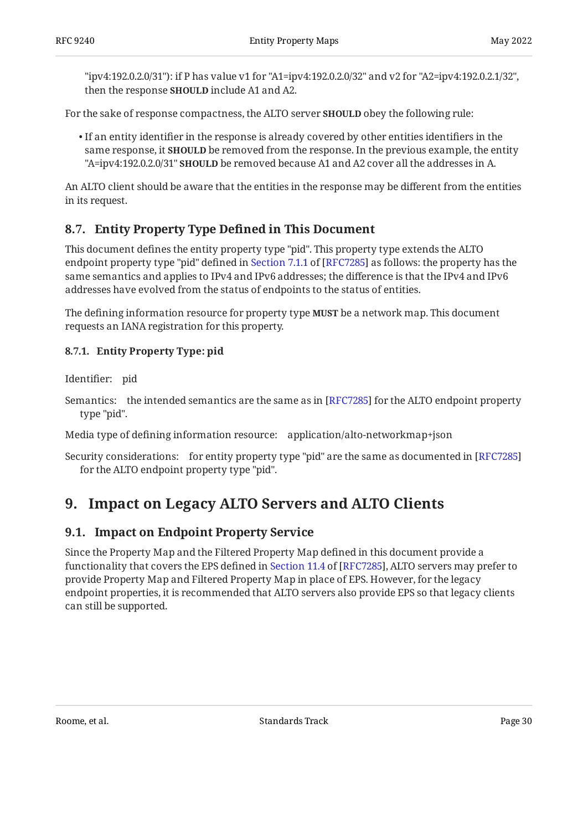"ipv4:192.0.2.0/31"): if P has value v1 for "A1=ipv4:192.0.2.0/32" and v2 for "A2=ipv4:192.0.2.1/32", then the response **SHOULD** include A1 and A2.

For the sake of response compactness, the ALTO server **SHOULD** obey the following rule:

 $\bullet$  If an entity identifier in the response is already covered by other entities identifiers in the same response, it **SHOULD** be removed from the response. In the previous example, the entity "A=ipv4:192.0.2.0/31" **SHOULD** be removed because A1 and A2 cover all the addresses in A.

An ALTO client should be aware that the entities in the response may be different from the entities in its request.

# <span id="page-29-0"></span>**[8.7. Entity Property Type De](#page-29-0)fined in This Document**

This document defines the entity property type "pid". This property type extends the ALTO endpointproperty type "pid" defined in Section 7.1.1 of [RFC7285] as follows: the property has the same semantics and applies to IPv4 and IPv6 addresses; the difference is that the IPv4 and IPv6 addresses have evolved from the status of endpoints to the status of entities.

The defining information resource for property type **MUST** be a network map. This document requests an IANA registration for this property.

### <span id="page-29-1"></span>**[8.7.1. Entity Property Type: pid](#page-29-1)**

Identifier: pid

Semantics:  $\;$  the intended semantics are the same as in [RFC7285] for the ALTO endpoint property type "pid".

Media type of defining information resource: application/alto-networkmap+json

Security considerations: for entity property type "pid" are the same as documented in [[RFC7285\]](#page-48-2) for the ALTO endpoint property type "pid".

# <span id="page-29-3"></span><span id="page-29-2"></span>**[9. Impact on Legacy ALTO Servers and ALTO Clients](#page-29-2)**

## **[9.1. Impact on Endpoint Property Service](#page-29-3)**

Since the Property Map and the Filtered Property Map defined in this document provide a functionalitythat covers the EPS defined in Section 11.4 of [RFC7285], ALTO servers may prefer to provide Property Map and Filtered Property Map in place of EPS. However, for the legacy endpoint properties, it is recommended that ALTO servers also provide EPS so that legacy clients can still be supported.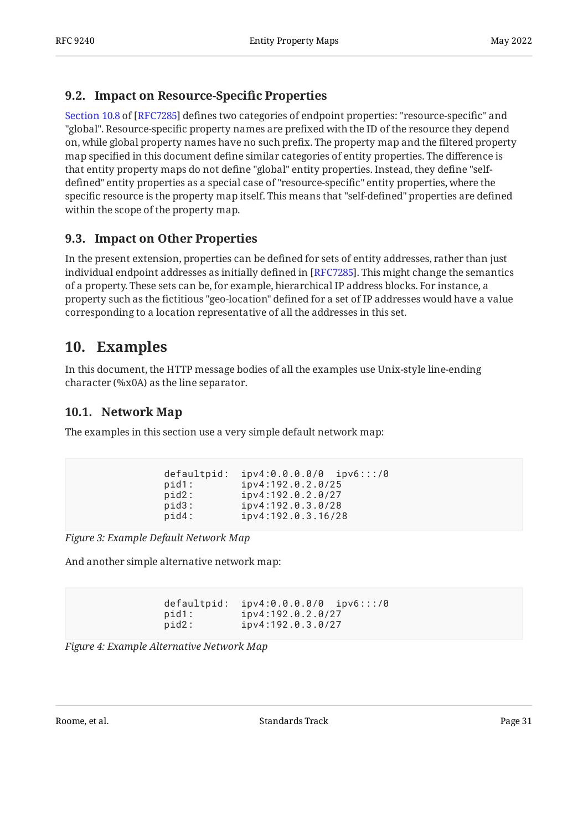# <span id="page-30-0"></span>**[9.2. Impact on Resource-Speci](#page-30-0)fic Properties**

[Section 10.8](https://www.rfc-editor.org/rfc/rfc7285#section-10.8) of [\[RFC7285](#page-48-2)] defines two categories of endpoint properties: "resource-specific" and "global". Resource-specific property names are prefixed with the ID of the resource they depend on, while global property names have no such prefix. The property map and the filtered property map specified in this document define similar categories of entity properties. The difference is that entity property maps do not define "global" entity properties. Instead, they define "selfdefined" entity properties as a special case of "resource-specific" entity properties, where the specific resource is the property map itself. This means that "self-defined" properties are defined within the scope of the property map.

# <span id="page-30-1"></span>**[9.3. Impact on Other Properties](#page-30-1)**

In the present extension, properties can be defined for sets of entity addresses, rather than just individual endpoint addresses as initially defined in [RFC7285]. This might change the semantics  $\,$ of a property. These sets can be, for example, hierarchical IP address blocks. For instance, a property such as the fictitious "geo-location" defined for a set of IP addresses would have a value corresponding to a location representative of all the addresses in this set.

# <span id="page-30-2"></span>**[10. Examples](#page-30-2)**

In this document, the HTTP message bodies of all the examples use Unix-style line-ending character (%x0A) as the line separator.

# <span id="page-30-3"></span>**[10.1. Network Map](#page-30-3)**

<span id="page-30-4"></span>The examples in this section use a very simple default network map:

```
defaultpid: ipv4:0.0.0.0/0 ipv6:::/0<br>pid1: ipv4:192.0.2.0/25
                 pid1: ipv4:192.0.2.0/25
 pid2: ipv4:192.0.2.0/27
pid3: ipv4:192.0.3.0/28<br>pid4: ipv4:192.0.3.16/2
                  pid4: ipv4:192.0.3.16/28
```
*[Figure 3: Example Default Network Map](#page-30-4)* 

<span id="page-30-5"></span>And another simple alternative network map:

 defaultpid: ipv4:0.0.0.0/0 ipv6:::/0 pid1: ipv4:192.0.2.0/27<br>pid2: ipv4:192.0.3.0/27 pid2: ipv4:192.0.3.0/27

*[Figure 4: Example Alternative Network Map](#page-30-5)*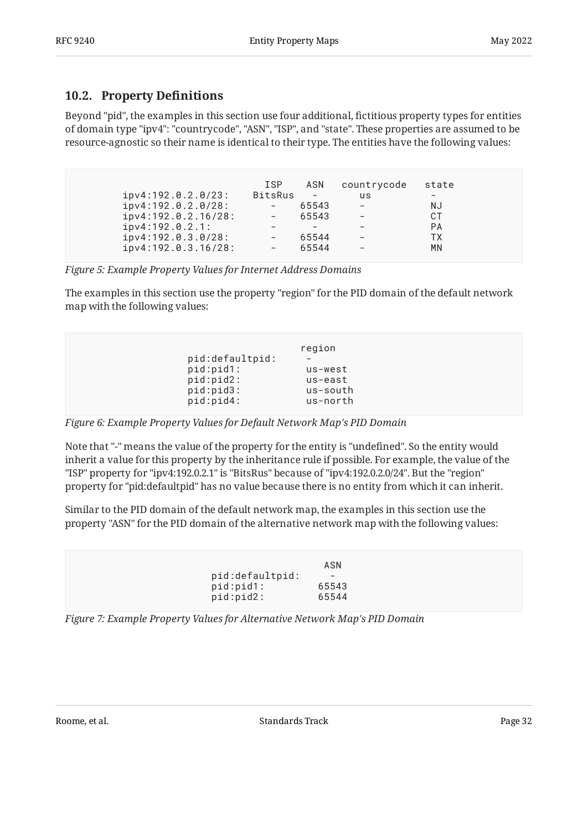# <span id="page-31-0"></span>**[10.2. Property De](#page-31-0)finitions**

Beyond "pid", the examples in this section use four additional, fictitious property types for entities of domain type "ipv4": "countrycode", "ASN", "ISP", and "state". These properties are assumed to be resource-agnostic so their name is identical to their type. The entities have the following values:

<span id="page-31-1"></span>

| ipv4:192.0.2.0/23:<br>ipv4:192.0.2.0/28:<br>ipv4:192.0.2.16/28:<br>ipv4:192.0.2.1:<br>ipv4:192.0.3.0/28:<br>ipv4:192.0.3.16/28: | <b>ISP</b><br><b>BitsRus</b> | ASN<br>$\overline{\phantom{m}}$<br>65543<br>65543<br>65544<br>65544 | countrycode<br>us | state<br>NJ<br>СT<br><b>PA</b><br>TХ<br>MN |  |
|---------------------------------------------------------------------------------------------------------------------------------|------------------------------|---------------------------------------------------------------------|-------------------|--------------------------------------------|--|
|---------------------------------------------------------------------------------------------------------------------------------|------------------------------|---------------------------------------------------------------------|-------------------|--------------------------------------------|--|

*[Figure 5: Example Property Values for Internet Address Domains](#page-31-1)* 

The examples in this section use the property "region" for the PID domain of the default network map with the following values:

<span id="page-31-2"></span>

|                 | region   |
|-----------------|----------|
| pid:defaultpid: |          |
| pid:pid1:       | us-west  |
| pid:pid2:       | us-east  |
| pid:pid3:       | us-south |
| pid:pid4:       | us-north |
|                 |          |

*[Figure 6: Example Property Values for Default Network Map's PID Domain](#page-31-2)* 

Note that "-" means the value of the property for the entity is "undefined". So the entity would inherit a value for this property by the inheritance rule if possible. For example, the value of the "ISP" property for "ipv4:192.0.2.1" is "BitsRus" because of "ipv4:192.0.2.0/24". But the "region" property for "pid:defaultpid" has no value because there is no entity from which it can inherit.

Similar to the PID domain of the default network map, the examples in this section use the property "ASN" for the PID domain of the alternative network map with the following values:

<span id="page-31-3"></span>

| pid:defaultpid: | ASN<br>$\overline{\phantom{m}}$ |
|-----------------|---------------------------------|
| pid:pid1:       | 65543                           |
| pid:pid2:       | 65544                           |

*[Figure 7: Example Property Values for Alternative Network Map's PID Domain](#page-31-3)* 

Roome, et al. Note as a standard a standards Track Assembly 2011 and 2012 and 2013 and 2014 and 2013 and 2014 and 2014 and 2014 and 2014 and 2014 and 2014 and 2014 and 2014 and 2014 and 2014 and 2014 and 2014 and 2014 and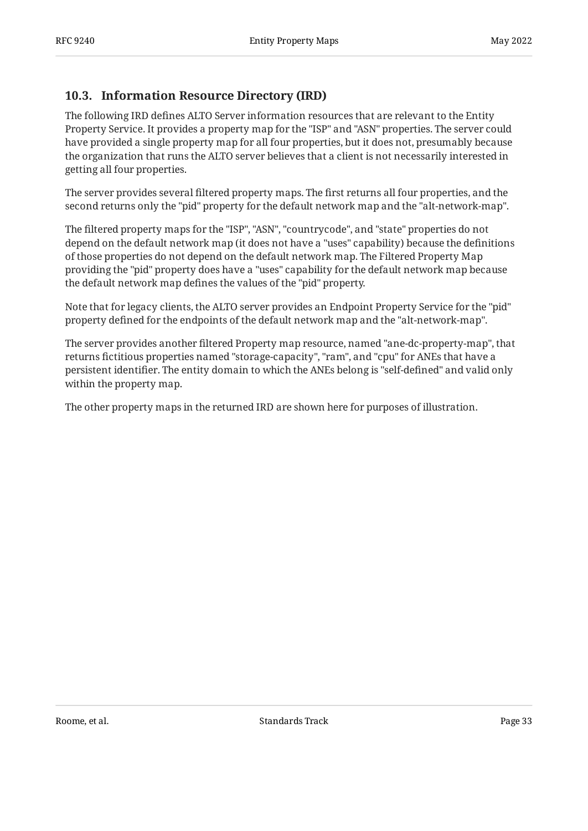## <span id="page-32-0"></span>**[10.3. Information Resource Directory \(IRD\)](#page-32-0)**

The following IRD defines ALTO Server information resources that are relevant to the Entity Property Service. It provides a property map for the "ISP" and "ASN" properties. The server could have provided a single property map for all four properties, but it does not, presumably because the organization that runs the ALTO server believes that a client is not necessarily interested in getting all four properties.

The server provides several filtered property maps. The first returns all four properties, and the second returns only the "pid" property for the default network map and the "alt-network-map".

The filtered property maps for the "ISP", "ASN", "countrycode", and "state" properties do not depend on the default network map (it does not have a "uses" capability) because the definitions of those properties do not depend on the default network map. The Filtered Property Map providing the "pid" property does have a "uses" capability for the default network map because the default network map defines the values of the "pid" property.

Note that for legacy clients, the ALTO server provides an Endpoint Property Service for the "pid" property defined for the endpoints of the default network map and the "alt-network-map".

The server provides another filtered Property map resource, named "ane-dc-property-map", that returns fictitious properties named "storage-capacity", "ram", and "cpu" for ANEs that have a persistent identifier. The entity domain to which the ANEs belong is "self-defined" and valid only within the property map.

<span id="page-32-1"></span>The other property maps in the returned IRD are shown here for purposes of illustration.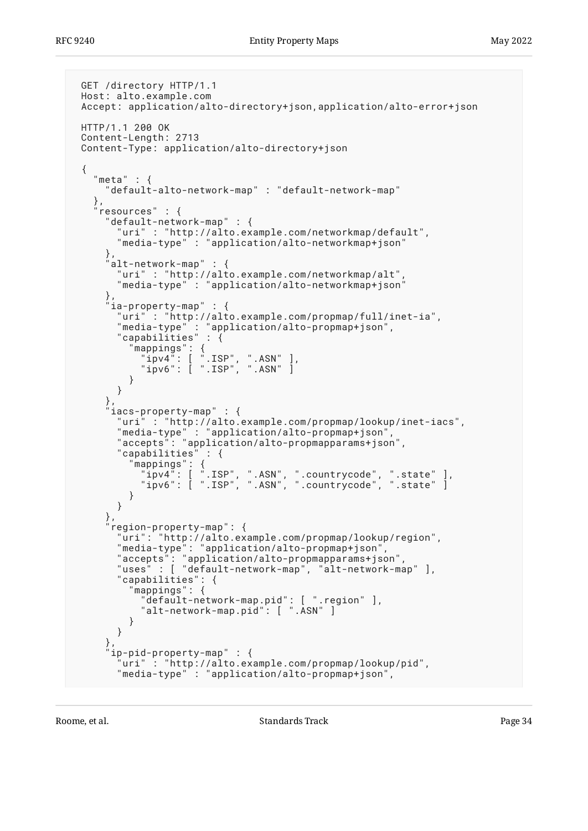```
 GET /directory HTTP/1.1
 Host: alto.example.com
 Accept: application/alto-directory+json,application/alto-error+json
 HTTP/1.1 200 OK
 Content-Length: 2713
 Content-Type: application/alto-directory+json
 {
  "meta" : { "default-alto-network-map" : "default-network-map"
 },
 "resources" : {
      "default-network-map" : {
        "uri" : "http://alto.example.com/networkmap/default",
       "media-type" : "application/alto-networkmap+json"
     },
     alt-network-map" : {
       "uri" : "http://alto.example.com/networkmap/alt",
       "media-type" : "application/alto-networkmap+json"
     },
     ia-property-map" : {
 "uri" : "http://alto.example.com/propmap/full/inet-ia",
 "media-type" : "application/alto-propmap+json",
 "capabilities" : {
 "mappings": {
 "ipv4": [ ".ISP", ".ASN" ],
 "ipv6": [ ".ISP", ".ASN" ]
         }
       }
 },
 "iacs-property-map" : {
       "uri" : "http://alto.example.com/propmap/lookup/inet-iacs",
       "media-type" : "application/alto-propmap+json",
       "accepts": "application/alto-propmapparams+json",
       "capabilities" : {
 "mappings": {
 "ipv4": [ ".ISP", ".ASN", ".countrycode", ".state" ],
 "ipv6": [ ".ISP", ".ASN", ".countrycode", ".state" ]
 }
       }
     },
     region-property-map": {
 "uri": "http://alto.example.com/propmap/lookup/region",
 "media-type": "application/alto-propmap+json",
 "accepts": "application/alto-propmapparams+json",
 "uses" : [ "default-network-map", "alt-network-map" ],
       "capabilities": {
         mappings": {
           "default-network-map.pid": [ ".region" ],
           "alt-network-map.pid": [ ".ASN" ]
         }
       }
     },
     ip-pid-property-map" : {
        "uri" : "http://alto.example.com/propmap/lookup/pid",
       "media-type" : "application/alto-propmap+json",
```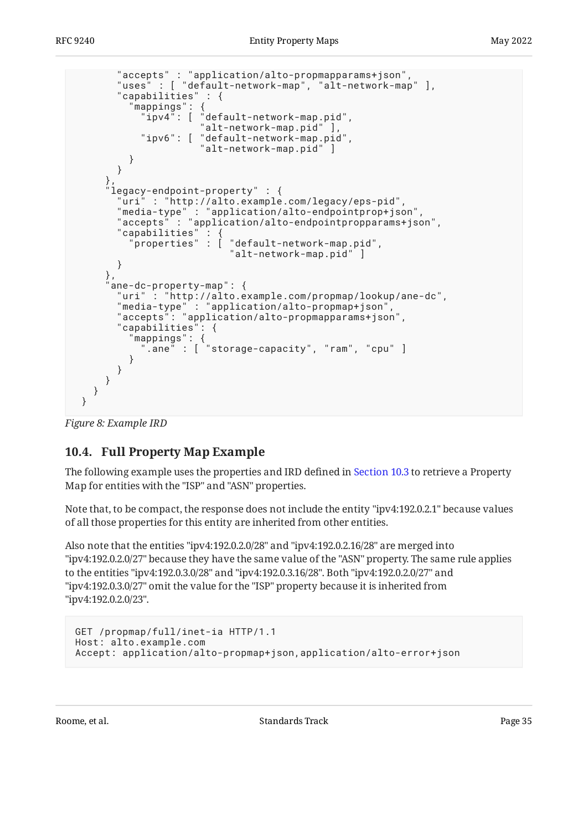```
 "accepts" : "application/alto-propmapparams+json",
 "uses" : [ "default-network-map", "alt-network-map" ],
       "capabilities" : {
 "mappings": {
 "ipv4": [ "default-network-map.pid",
 "alt-network-map.pid" ],
 "ipv6": [ "default-network-map.pid",
 "alt-network-map.pid" ]
         }
       }
 },
 "legacy-endpoint-property" : {
        "uri" : "http://alto.example.com/legacy/eps-pid",
 "media-type" : "application/alto-endpointprop+json",
 "accepts" : "application/alto-endpointpropparams+json",
      "capabilities" :<br>"properties" :
                      \int "default-network-map.pid",
                         "alt-network-map.pid" ]
       }
     },
     ane-dc-property-map": {
       "uri" : "http://alto.example.com/propmap/lookup/ane-dc",
       "media-type" : "application/alto-propmap+json",
       "accepts": "application/alto-propmapparams+json",
       "capabilities": {
 "mappings": {
 ".ane" : [ "storage-capacity", "ram", "cpu" ]
 }
       }
     }
   }
 }
```
<span id="page-34-0"></span>*[Figure 8:](#page-33-0) [Example IRD](#page-32-1)* 

# **[10.4. Full Property Map Example](#page-34-0)**

The following example uses the properties and IRD defined in [Section 10.3](#page-32-0) to retrieve a Property Map for entities with the "ISP" and "ASN" properties.

Note that, to be compact, the response does not include the entity "ipv4:192.0.2.1" because values of all those properties for this entity are inherited from other entities.

Also note that the entities "ipv4:192.0.2.0/28" and "ipv4:192.0.2.16/28" are merged into "ipv4:192.0.2.0/27" because they have the same value of the "ASN" property. The same rule applies to the entities "ipv4:192.0.3.0/28" and "ipv4:192.0.3.16/28". Both "ipv4:192.0.2.0/27" and "ipv4:192.0.3.0/27" omit the value for the "ISP" property because it is inherited from "ipv4:192.0.2.0/23".

```
GET /propmap/full/inet-ia HTTP/1.1
Host: alto.example.com
Accept: application/alto-propmap+json,application/alto-error+json
```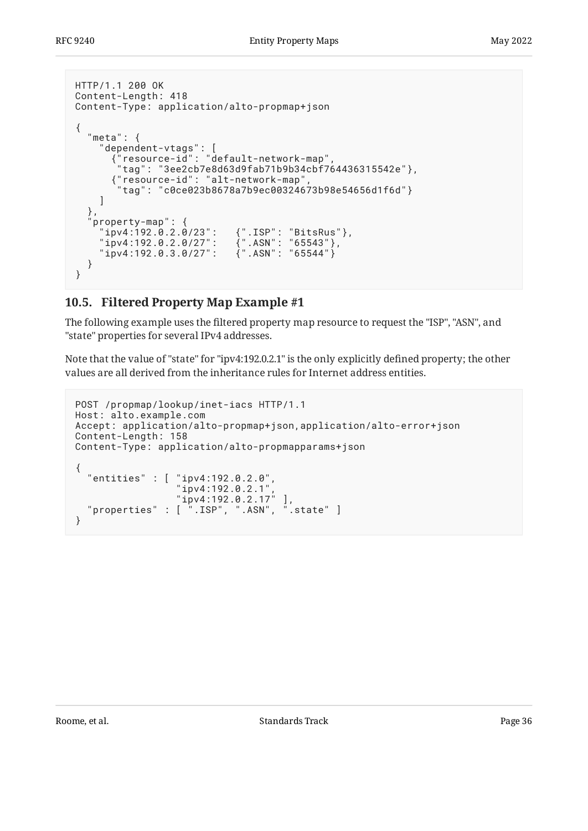```
HTTP/1.1 200 OK
Content-Length: 418
Content-Type: application/alto-propmap+json
{
  "meta": {
 "dependent-vtags": [
 {"resource-id": "default-network-map",
       "tag": "3ee2cb7e8d63d9fab71b9b34cbf764436315542e"},
       {"resource-id": "alt-network-map",
        "tag": "c0ce023b8678a7b9ec00324673b98e54656d1f6d"}
    ]
   },
  property-map": {
 "ipv4:192.0.2.0/23": {".ISP": "BitsRus"},
 "ipv4:192.0.2.0/27": {".ASN": "65543"},
 "ipv4:192.0.3.0/27": {".ASN": "65544"}
   }
}
```
# <span id="page-35-0"></span>**[10.5. Filtered Property Map Example #1](#page-35-0)**

The following example uses the filtered property map resource to request the "ISP", "ASN", and "state" properties for several IPv4 addresses.

Note that the value of "state" for "ipv4:192.0.2.1" is the only explicitly defined property; the other values are all derived from the inheritance rules for Internet address entities.

```
POST /propmap/lookup/inet-iacs HTTP/1.1
Host: alto.example.com
Accept: application/alto-propmap+json,application/alto-error+json
Content-Length: 158
Content-Type: application/alto-propmapparams+json
{
 "entities" : [ "ipv4:192.0.2.0",
 "ipv4:192.0.2.1",
 "ipv4:192.0.2.17" ],
 "properties" : [ ".ISP", ".ASN", ".state" ]
}
```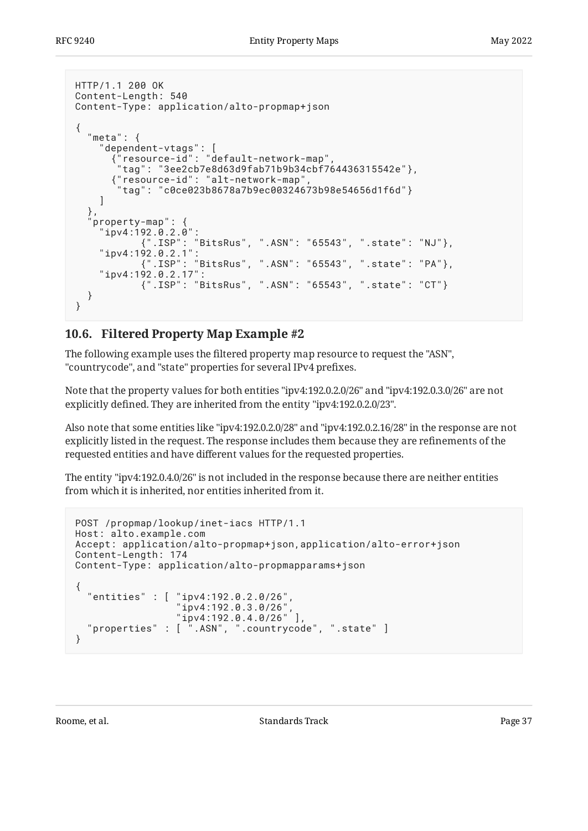```
HTTP/1.1 200 OK
Content-Length: 540
Content-Type: application/alto-propmap+json
{
   "meta": {
 "dependent-vtags": [
 {"resource-id": "default-network-map",
       "tag": "3ee2cb7e8d63d9fab71b9b34cbf764436315542e"},
       {"resource-id": "alt-network-map",
        "tag": "c0ce023b8678a7b9ec00324673b98e54656d1f6d"}
     ]
   },
   property-map": {
     "ipv4:192.0.2.0":
            {".ISP": "BitsRus", ".ASN": "65543", ".state": "NJ"},
 "ipv4:192.0.2.1":
 {".ISP": "BitsRus", ".ASN": "65543", ".state": "PA"},
     "ipv4:192.0.2.17":
            {".ISP": "BitsRus", ".ASN": "65543", ".state": "CT"}
   }
}
```
## <span id="page-36-0"></span>**[10.6. Filtered Property Map Example #2](#page-36-0)**

The following example uses the filtered property map resource to request the "ASN", "countrycode", and "state" properties for several IPv4 prefixes.

Note that the property values for both entities "ipv4:192.0.2.0/26" and "ipv4:192.0.3.0/26" are not explicitly defined. They are inherited from the entity "ipv4:192.0.2.0/23".

Also note that some entities like "ipv4:192.0.2.0/28" and "ipv4:192.0.2.16/28" in the response are not explicitly listed in the request. The response includes them because they are refinements of the requested entities and have different values for the requested properties.

The entity "ipv4:192.0.4.0/26" is not included in the response because there are neither entities from which it is inherited, nor entities inherited from it.

```
POST /propmap/lookup/inet-iacs HTTP/1.1
Host: alto.example.com
Accept: application/alto-propmap+json,application/alto-error+json
Content-Length: 174
Content-Type: application/alto-propmapparams+json
\left\{ \right. "entities" : [ "ipv4:192.0.2.0/26",
                  "ipv4:192.0.3.0/26"
                   "ipv4:192.0.4.0/26" ],
   "properties" : [ ".ASN", ".countrycode", ".state" ]
}
```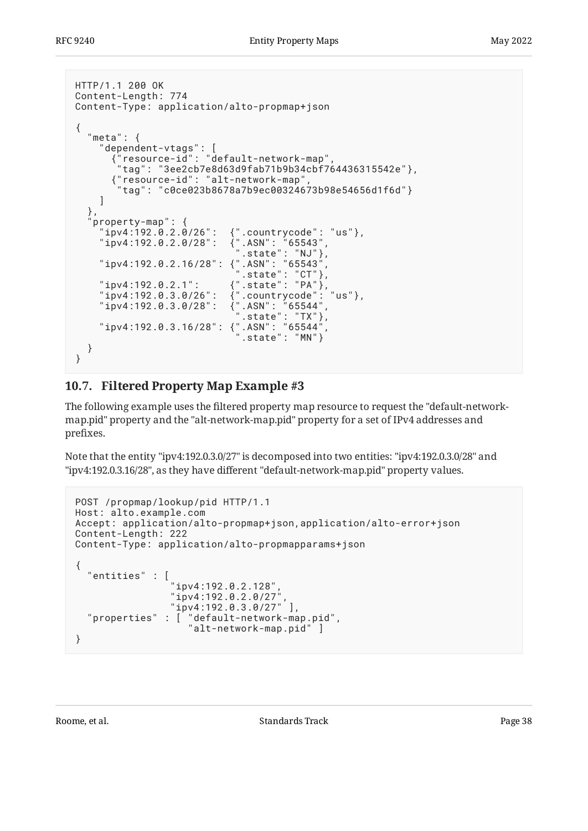```
HTTP/1.1 200 OK
Content-Length: 774
Content-Type: application/alto-propmap+json
{
   "meta": {
 "dependent-vtags": [
 {"resource-id": "default-network-map",
         "tag": "3ee2cb7e8d63d9fab71b9b34cbf764436315542e"},
         {"resource-id": "alt-network-map",
          "tag": "c0ce023b8678a7b9ec00324673b98e54656d1f6d"}
      ]
  },<br>"property-map": {
 "property-map": {
 "ipv4:192.0.2.0/26": {".countrycode": "us"},
 "ipv4:192.0.2.0/28": {".ASN": "65543",
\ldots \ldots \ldots \ldots \ldots \ldots \ldots \ldots \ldots \ldots \ldots \ldots \ldots \ldots \ldots \ldots \ldots "ipv4:192.0.2.16/28": {".ASN": "65543",
\blacksquare .state": "CT"},
 "ipv4:192.0.2.1": {".state": "PA"},
 "ipv4:192.0.3.0/26": {".countrycode": "us"},
 "ipv4:192.0.3.0/28": {".ASN": "65544",
\ldots \ldots \ldots \ldots \ldots \ldots \ldots \ldots \ldots \ldots \ldots \ldots \ldots \ldots \ldots \ldots \ldots \ldots \ldots \ldots \ldots \ldots \ldots \ldots \ldots \ldots \ldots \ldots \ldots \ldots \ldots \ldots \ldots \ldots \ldots \ldots \ldots "ipv4:192.0.3.16/28": {".ASN": "65544",
 ".state": "MN"}
   }
}
```
# <span id="page-37-0"></span>**[10.7. Filtered Property Map Example #3](#page-37-0)**

The following example uses the filtered property map resource to request the "default-networkmap.pid" property and the "alt-network-map.pid" property for a set of IPv4 addresses and prefixes.

Note that the entity "ipv4:192.0.3.0/27" is decomposed into two entities: "ipv4:192.0.3.0/28" and "ipv4:192.0.3.16/28", as they have different "default-network-map.pid" property values.

```
POST /propmap/lookup/pid HTTP/1.1
Host: alto.example.com
Accept: application/alto-propmap+json,application/alto-error+json
Content-Length: 222
Content-Type: application/alto-propmapparams+json
{
   "entities" : [
                "ipv4:192.0.2.128",
                "ipv4:192.0.2.0/27",
                "ipv4:192.0.3.0/27" ],
 "properties" : [ "default-network-map.pid",
 "alt-network-map.pid" ]
}
```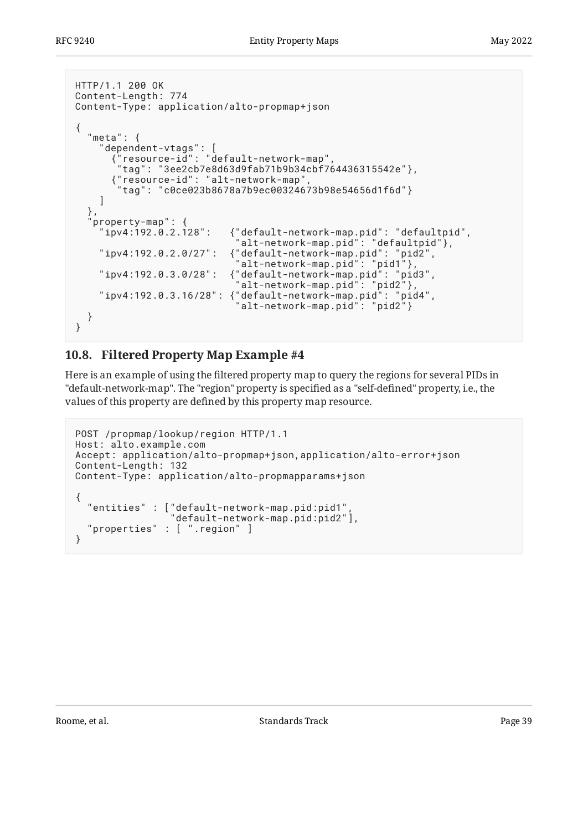```
HTTP/1.1 200 OK
Content-Length: 774
Content-Type: application/alto-propmap+json
{
   "meta": {
 "dependent-vtags": [
 {"resource-id": "default-network-map",
       "tag": "3ee2cb7e8d63d9fab71b9b34cbf764436315542e"},
       {"resource-id": "alt-network-map",
        "tag": "c0ce023b8678a7b9ec00324673b98e54656d1f6d"}
     ]
   },
   property-map": {<br>"ipv4:192.0.2.128":
                          {"default-network-map.pid": "defaultpid".
    | alt-network-map.pid": "defaultpid"},<br>| alt-network-map.pid": "defaultpid"},"<br>| alt-network-map.pid": "pid2"," | alteriory.
 "ipv4:192.0.2.0/27": {"default-network-map.pid": "pid2",
 "alt-network-map.pid": "pid1"},
 "ipv4:192.0.3.0/28": {"default-network-map.pid": "pid3",
 "alt-network-map.pid": "pid2"},
 "ipv4:192.0.3.16/28": {"default-network-map.pid": "pid4",
 "alt-network-map.pid": "pid2"}
   }
}
```
# <span id="page-38-0"></span>**[10.8. Filtered Property Map Example #4](#page-38-0)**

Here is an example of using the filtered property map to query the regions for several PIDs in "default-network-map". The "region" property is specified as a "self-defined" property, i.e., the values of this property are defined by this property map resource.

```
POST /propmap/lookup/region HTTP/1.1
Host: alto.example.com
Accept: application/alto-propmap+json,application/alto-error+json
Content-Length: 132
Content-Type: application/alto-propmapparams+json
\{ "entities" : ["default-network-map.pid:pid1",
                 "default-network-map.pid:pid2"],
   "properties" : [ ".region" ]
}
```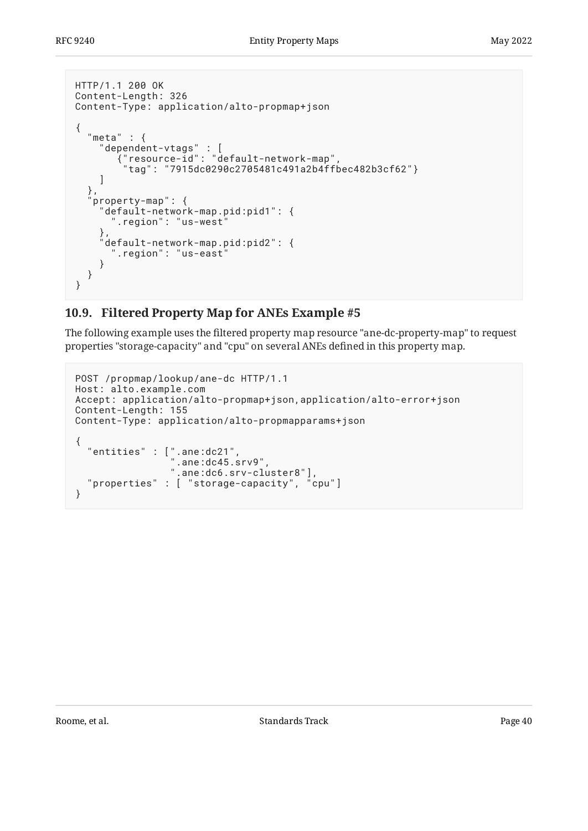```
HTTP/1.1 200 OK
Content-Length: 326
Content-Type: application/alto-propmap+json
{
  "meta" : {
 "dependent-vtags" : [
 {"resource-id": "default-network-map",
 "tag": "7915dc0290c2705481c491a2b4ffbec482b3cf62"}
   \lceil },
   property-map": {
 "default-network-map.pid:pid1": {
 ".region": "us-west"
 },
 "default-network-map.pid:pid2": {
 ".region": "us-east"
    }
  }
}
```
# <span id="page-39-0"></span>**[10.9. Filtered Property Map for ANEs Example #5](#page-39-0)**

The following example uses the filtered property map resource "ane-dc-property-map" to request properties "storage-capacity" and "cpu" on several ANEs defined in this property map.

```
POST /propmap/lookup/ane-dc HTTP/1.1
Host: alto.example.com
Accept: application/alto-propmap+json,application/alto-error+json
Content-Length: 155
Content-Type: application/alto-propmapparams+json
{
 "entities" : [".ane:dc21",
\blacksquare .ane:dc45.srv9",
 ".ane:dc6.srv-cluster8"],
   "properties" : [ "storage-capacity", "cpu"]
}
```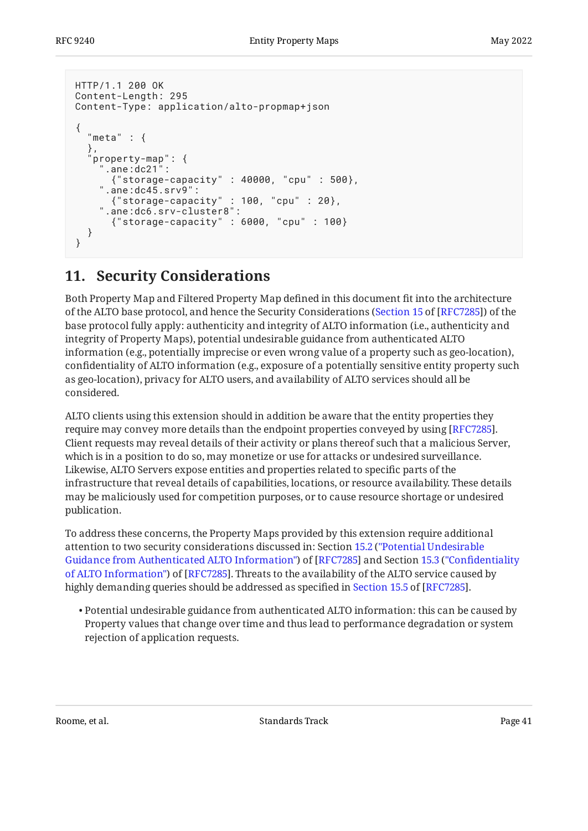```
HTTP/1.1 200 OK
Content-Length: 295
Content-Type: application/alto-propmap+json
{
  "meta" : { },
   property-map": {
      ".ane:dc21":
       {"storage-capacity" : 40000, "cpu" : 500},
    ".ane:dc45.srv9":
       {"storage-capacity" : 100, "cpu" : 20},
     ".ane:dc6.srv-cluster8":
       {"storage-capacity" : 6000, "cpu" : 100}
   }
}
```
# <span id="page-40-0"></span>**[11. Security Considerations](#page-40-0)**

Both Property Map and Filtered Property Map defined in this document fit into the architecture of the ALTO base protocol, and hence the Security Considerations ([Section 15](https://www.rfc-editor.org/rfc/rfc7285#section-15) of [\[RFC7285\]](#page-48-2)) of the base protocol fully apply: authenticity and integrity of ALTO information (i.e., authenticity and integrity of Property Maps), potential undesirable guidance from authenticated ALTO information (e.g., potentially imprecise or even wrong value of a property such as geo-location), confidentiality of ALTO information (e.g., exposure of a potentially sensitive entity property such as geo-location), privacy for ALTO users, and availability of ALTO services should all be considered.

ALTO clients using this extension should in addition be aware that the entity properties they require may convey more details than the endpoint properties conveyed by using [\[RFC7285\]](#page-48-2). Client requests may reveal details of their activity or plans thereof such that a malicious Server, which is in a position to do so, may monetize or use for attacks or undesired surveillance. Likewise, ALTO Servers expose entities and properties related to specific parts of the infrastructure that reveal details of capabilities, locations, or resource availability. These details may be maliciously used for competition purposes, or to cause resource shortage or undesired publication.

To address these concerns, the Property Maps provided by this extension require additional attention to two security considerations discussed in: Section [15.2](https://www.rfc-editor.org/rfc/rfc7285#section-15.2) (["Potential Undesirable](https://www.rfc-editor.org/rfc/rfc7285#section-15.2) [Guidance from Authenticated ALTO Information"\)](https://www.rfc-editor.org/rfc/rfc7285#section-15.2) of [\[RFC7285](#page-48-2)] and Section [15.3](https://www.rfc-editor.org/rfc/rfc7285#section-15.3) ("Confi[dentiality](https://www.rfc-editor.org/rfc/rfc7285#section-15.3) [of ALTO Information"\)](https://www.rfc-editor.org/rfc/rfc7285#section-15.3) of [\[RFC7285](#page-48-2)]. Threats to the availability of the ALTO service caused by highlydemanding queries should be addressed as specified in Section 15.5 of [RFC7285].

 $\bullet$  Potential undesirable guidance from authenticated ALTO information: this can be caused by Property values that change over time and thus lead to performance degradation or system rejection of application requests.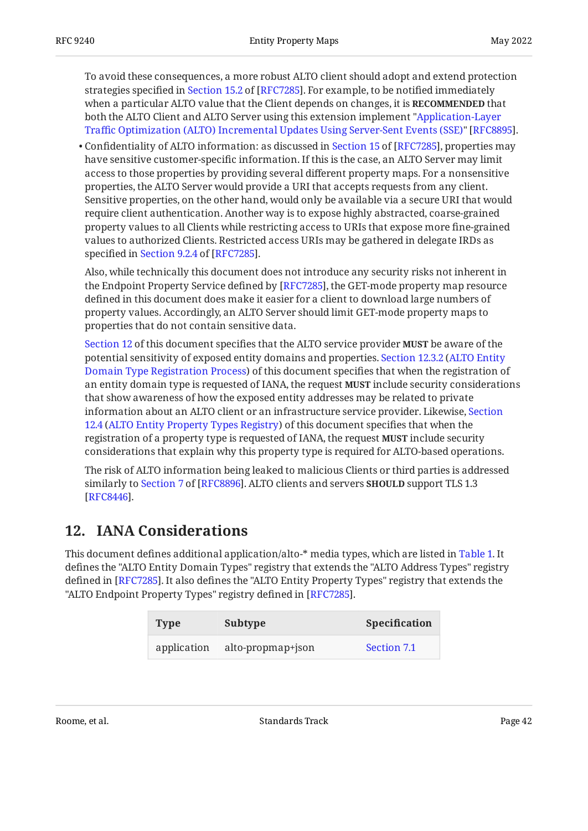To avoid these consequences, a more robust ALTO client should adopt and extend protection strategiesspecified in Section 15.2 of [RFC7285]. For example, to be notified immediately when a particular ALTO value that the Client depends on changes, it is **RECOMMENDED** that both the ALTO Client and ALTO Server using this extension implement ["Application-Layer](#page-49-9) Traffi[c Optimization \(ALTO\) Incremental Updates Using Server-Sent Events \(SSE\)](#page-49-9)" [RFC8895].

 $\bullet$ Confidentiality of ALTO information: as discussed in Section 15 of [RFC7285], properties may have sensitive customer-specific information. If this is the case, an ALTO Server may limit access to those properties by providing several different property maps. For a nonsensitive properties, the ALTO Server would provide a URI that accepts requests from any client. Sensitive properties, on the other hand, would only be available via a secure URI that would require client authentication. Another way is to expose highly abstracted, coarse-grained property values to all Clients while restricting access to URIs that expose more fine-grained values to authorized Clients. Restricted access URIs may be gathered in delegate IRDs as specifiedin Section 9.2.4 of [RFC7285].

Also, while technically this document does not introduce any security risks not inherent in the Endpoint Property Service defined by [RFC7285], the GET-mode property map resource defined in this document does make it easier for a client to download large numbers of property values. Accordingly, an ALTO Server should limit GET-mode property maps to properties that do not contain sensitive data.

[Section 12](#page-41-0) of this document specifies that the ALTO service provider **MUST** be aware of the potential sensitivity of exposed entity domains and properties. [Section 12.3.2](#page-46-0) ([ALTO Entity](#page-46-0) [Domain Type Registration Process](#page-46-0)) of this document specifies that when the registration of an entity domain type is requested of IANA, the request **MUST** include security considerations that show awareness of how the exposed entity addresses may be related to private information about an ALTO client or an infrastructure service provider. Likewise, [Section](#page-47-0) [12.4](#page-47-0) ([ALTO Entity Property Types Registry](#page-47-0)) of this document specifies that when the registration of a property type is requested of IANA, the request include security **MUST** considerations that explain why this property type is required for ALTO-based operations.

The risk of ALTO information being leaked to malicious Clients or third parties is addressed similarlyto Section 7 of [RFC8896]. ALTO clients and servers **SHOULD** support TLS 1.3  $\,$ . [[RFC8446\]](#page-49-11)

# <span id="page-41-0"></span>**[12. IANA Considerations](#page-41-0)**

<span id="page-41-1"></span>This document defines additional application/alto-\* media types, which are listed in [Table 1.](#page-41-1) It defines the "ALTO Entity Domain Types" registry that extends the "ALTO Address Types" registry defined in [RFC7285]. It also defines the "ALTO Entity Property Types" registry that extends the "ALTO Endpoint Property Types" registry defined in [RFC7285].

<span id="page-41-2"></span>

| <b>Type</b> | Subtype           | <b>Specification</b> |
|-------------|-------------------|----------------------|
| application | alto-propmap+json | Section 7.1          |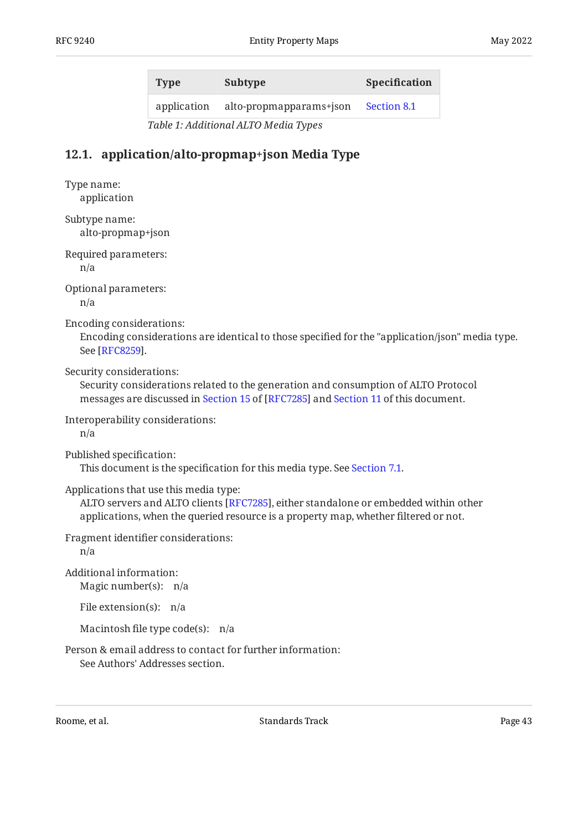| <b>Type</b> | Subtype                 | <b>Specification</b> |
|-------------|-------------------------|----------------------|
| application | alto-propmapparams+json | Section 8.1          |

*[Table 1:](#page-41-2) [Additional ALTO Media Types](#page-41-1)* 

# <span id="page-42-0"></span>**[12.1. application/alto-propmap+json Media Type](#page-42-0)**

Type name: application

Subtype name: alto-propmap+json

Required parameters:

n/a

Optional parameters:

n/a

Encoding considerations:

Encoding considerations are identical to those specified for the "application/json" media type. See [[RFC8259\]](#page-49-12).

Security considerations:

Security considerations related to the generation and consumption of ALTO Protocol messagesare discussed in Section 15 of [RFC7285] and [Section 11](#page-40-0) of this document.

Interoperability considerations:

n/a

Published specification:

This document is the specification for this media type. See [Section 7.1](#page-24-0).

Applications that use this media type:

ALTO servers and ALTO clients [[RFC7285\]](#page-48-2), either standalone or embedded within other applications, when the queried resource is a property map, whether filtered or not.

Fragment identifier considerations:

n/a

Magic number(s): n/a Additional information:

File extension(s): n/a

Macintosh file type code(s): n/a

Person & email address to contact for further information: See Authors' Addresses section.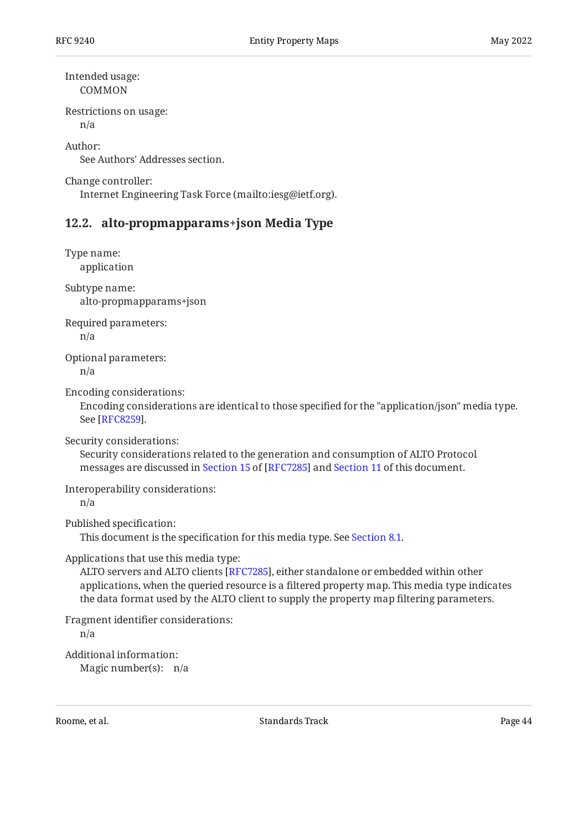Intended usage: COMMON

Restrictions on usage:

n/a

Author: See Authors' Addresses section.

Change controller:

<span id="page-43-0"></span>Internet Engineering Task Force (mailto:iesg@ietf.org).

### **[12.2. alto-propmapparams+json Media Type](#page-43-0)**

Type name: application

Subtype name: alto-propmapparams+json

Required parameters:

n/a

Optional parameters:

n/a

Encoding considerations:

Encoding considerations are identical to those specified for the "application/json" media type. See [[RFC8259\]](#page-49-12).

Security considerations:

Security considerations related to the generation and consumption of ALTO Protocol messagesare discussed in Section 15 of [RFC7285] and [Section 11](#page-40-0) of this document.

Interoperability considerations:

n/a

Published specification:

This document is the specification for this media type. See [Section 8.1](#page-26-0).

Applications that use this media type:

ALTO servers and ALTO clients [RFC7285], either standalone or embedded within other applications, when the queried resource is a filtered property map. This media type indicates the data format used by the ALTO client to supply the property map filtering parameters.

Fragment identifier considerations: n/a Additional information:

Magic number(s): n/a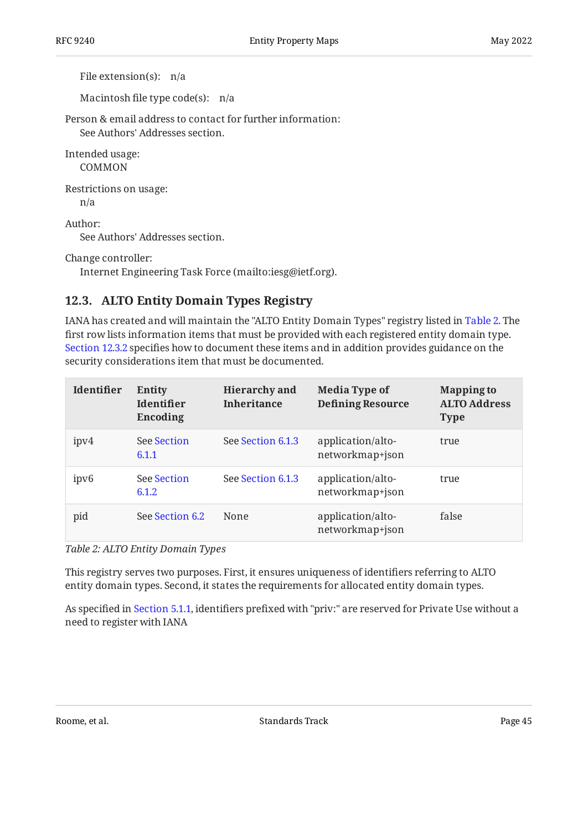File extension(s): n/a

Macintosh file type code(s): n/a

Person & email address to contact for further information: See Authors' Addresses section.

Intended usage: COMMON

Restrictions on usage:

n/a

Author:

See Authors' Addresses section.

Change controller:

<span id="page-44-0"></span>Internet Engineering Task Force (mailto:iesg@ietf.org).

# **[12.3. ALTO Entity Domain Types Registry](#page-44-0)**

IANA has created and will maintain the "ALTO Entity Domain Types" registry listed in [Table 2.](#page-44-1) The first row lists information items that must be provided with each registered entity domain type. [Section 12.3.2](#page-46-0) specifies how to document these items and in addition provides guidance on the security considerations item that must be documented.

<span id="page-44-1"></span>

| Identifier       | Entity<br><b>Identifier</b><br>Encoding | <b>Hierarchy</b> and<br><b>Inheritance</b> | <b>Media Type of</b><br><b>Defining Resource</b> | <b>Mapping to</b><br><b>ALTO Address</b><br><b>Type</b> |
|------------------|-----------------------------------------|--------------------------------------------|--------------------------------------------------|---------------------------------------------------------|
| ipv4             | <b>See Section</b><br>6.1.1             | See Section 6.1.3                          | application/alto-<br>networkmap+json             | true                                                    |
| ipv <sub>6</sub> | <b>See Section</b><br>6.1.2             | See Section 6.1.3                          | application/alto-<br>networkmap+json             | true                                                    |
| pid              | See Section 6.2                         | None                                       | application/alto-<br>networkmap+json             | false                                                   |

*[Table 2: ALTO Entity Domain Types](#page-44-1)* 

This registry serves two purposes. First, it ensures uniqueness of identifiers referring to ALTO entity domain types. Second, it states the requirements for allocated entity domain types.

As specified in [Section 5.1.1,](#page-15-3) identifiers prefixed with "priv:" are reserved for Private Use without a need to register with IANA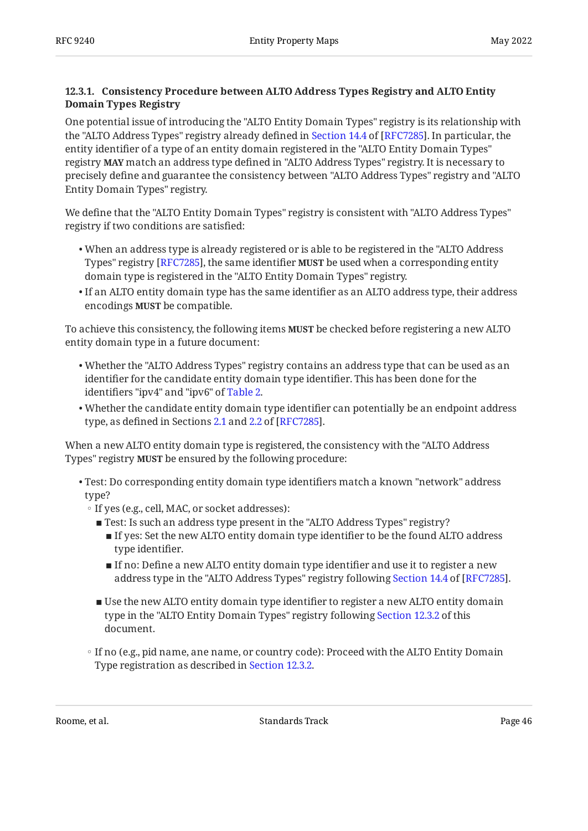#### <span id="page-45-0"></span>**[12.3.1. Consistency Procedure between ALTO Address Types Registry and ALTO Entity](#page-45-0) [Domain Types Registry](#page-45-0)**

One potential issue of introducing the "ALTO Entity Domain Types" registry is its relationship with the"ALTO Address Types" registry already defined in Section 14.4 of [RFC7285]. In particular, the entity identifier of a type of an entity domain registered in the "ALTO Entity Domain Types" registry match an address type defined in "ALTO Address Types" registry. It is necessary to **MAY** precisely define and guarantee the consistency between "ALTO Address Types" registry and "ALTO Entity Domain Types" registry.

We define that the "ALTO Entity Domain Types" registry is consistent with "ALTO Address Types" registry if two conditions are satisfied:

- When an address type is already registered or is able to be registered in the "ALTO Address Types" registry [RFC7285], the same identifier **MUST** be used when a corresponding entity domain type is registered in the "ALTO Entity Domain Types" registry.
- $\bullet$  If an ALTO entity domain type has the same identifier as an ALTO address type, their address encodings **MUST** be compatible.

To achieve this consistency, the following items **MUST** be checked before registering a new ALTO entity domain type in a future document:

- Whether the "ALTO Address Types" registry contains an address type that can be used as an identifier for the candidate entity domain type identifier. This has been done for the identifiers "ipv4" and "ipv6" of [Table 2.](#page-44-1)
- Whether the candidate entity domain type identifier can potentially be an endpoint address type, as defined in Sections [2.1](https://www.rfc-editor.org/rfc/rfc7285#section-2.1) and [2.2](https://www.rfc-editor.org/rfc/rfc7285#section-2.2) of [RFC7285].

When a new ALTO entity domain type is registered, the consistency with the "ALTO Address Types" registry **MUST** be ensured by the following procedure:

- Test: Do corresponding entity domain type identifiers match a known "network" address type?
	- If yes (e.g., cell, MAC, or socket addresses):
		- Test: Is such an address type present in the "ALTO Address Types" registry?
			- $\blacksquare$  If yes: Set the new ALTO entity domain type identifier to be the found ALTO address type identifier.
			- $\blacksquare$  If no: Define a new ALTO entity domain type identifier and use it to register a new addresstype in the "ALTO Address Types" registry following Section 14.4 of [RFC7285].
		- $\blacksquare$  Use the new ALTO entity domain type identifier to register a new ALTO entity domain type in the "ALTO Entity Domain Types" registry following [Section 12.3.2](#page-46-0) of this document.
	- If no (e.g., pid name, ane name, or country code): Proceed with the ALTO Entity Domain Type registration as described in [Section 12.3.2.](#page-46-0)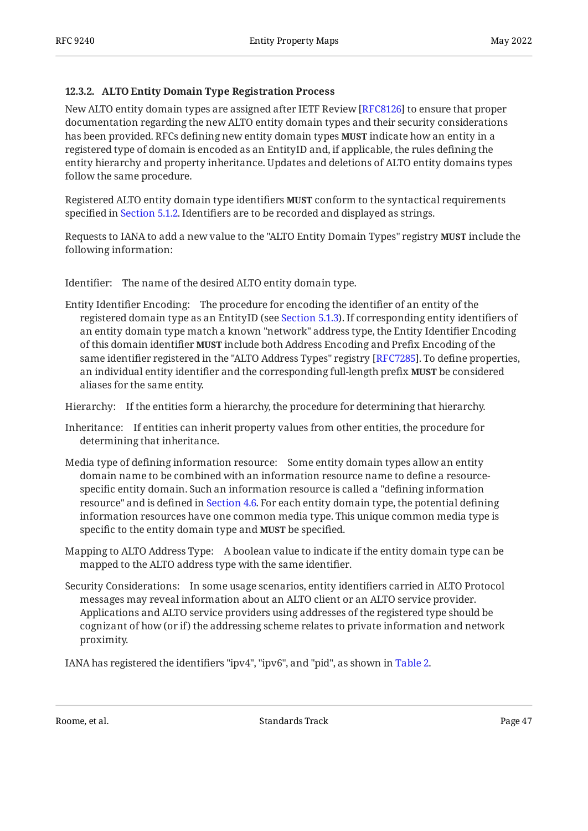#### <span id="page-46-0"></span>**[12.3.2. ALTO Entity Domain Type Registration Process](#page-46-0)**

New ALTO entity domain types are assigned after IETF Review [[RFC8126\]](#page-49-7) to ensure that proper documentation regarding the new ALTO entity domain types and their security considerations has been provided. RFCs defining new entity domain types **MUST** indicate how an entity in a registered type of domain is encoded as an EntityID and, if applicable, the rules defining the entity hierarchy and property inheritance. Updates and deletions of ALTO entity domains types follow the same procedure.

Registered ALTO entity domain type identifiers **MUST** conform to the syntactical requirements specified in [Section 5.1.2.](#page-16-0) Identifiers are to be recorded and displayed as strings.

Requests to IANA to add a new value to the "ALTO Entity Domain Types" registry **MUST** include the following information:

Identifier: The name of the desired ALTO entity domain type.

Entity Identifier Encoding: The procedure for encoding the identifier of an entity of the registered domain type as an EntityID (see [Section 5.1.3\)](#page-18-0). If corresponding entity identifiers of an entity domain type match a known "network" address type, the Entity Identifier Encoding of this domain identifier **MUST** include both Address Encoding and Prefix Encoding of the same identifier registered in the "ALTO Address Types" registry [RFC7285]. To define properties, an individual entity identifier and the corresponding full-length prefix **MUST** be considered aliases for the same entity.

Hierarchy: If the entities form a hierarchy, the procedure for determining that hierarchy.

- Inheritance: If entities can inherit property values from other entities, the procedure for determining that inheritance.
- Media type of defining information resource: Some entity domain types allow an entity domain name to be combined with an information resource name to define a resourcespecific entity domain. Such an information resource is called a "defining information resource" and is defined in [Section 4.6](#page-13-0). For each entity domain type, the potential defining information resources have one common media type. This unique common media type is specific to the entity domain type and **MUST** be specified.
- Mapping to ALTO Address Type: A boolean value to indicate if the entity domain type can be mapped to the ALTO address type with the same identifier.
- Security Considerations: In some usage scenarios, entity identifiers carried in ALTO Protocol messages may reveal information about an ALTO client or an ALTO service provider. Applications and ALTO service providers using addresses of the registered type should be cognizant of how (or if) the addressing scheme relates to private information and network proximity.

IANA has registered the identifiers "ipv4", "ipv6", and "pid", as shown in [Table 2](#page-44-1).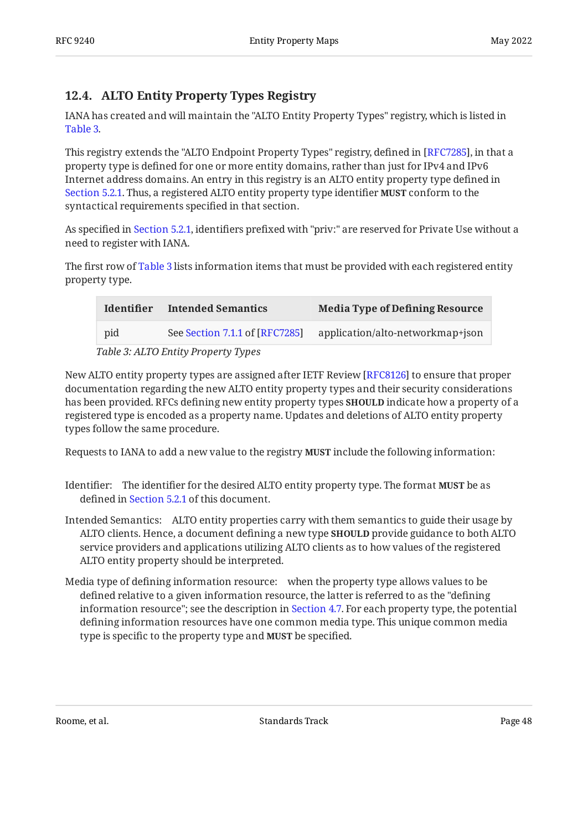# <span id="page-47-0"></span>**[12.4. ALTO Entity Property Types Registry](#page-47-0)**

IANA has created and will maintain the "ALTO Entity Property Types" registry, which is listed in [Table 3.](#page-47-1)

This registry extends the "ALTO Endpoint Property Types" registry, defined in [RFC7285], in that a property type is defined for one or more entity domains, rather than just for IPv4 and IPv6 Internet address domains. An entry in this registry is an ALTO entity property type defined in [Section 5.2.1.](#page-19-0) Thus, a registered ALTO entity property type identifier **MUST** conform to the syntactical requirements specified in that section.

As specified in [Section 5.2.1,](#page-19-0) identifiers prefixed with "priv:" are reserved for Private Use without a need to register with IANA.

The first row of [Table 3](#page-47-1) lists information items that must be provided with each registered entity property type.

<span id="page-47-2"></span><span id="page-47-1"></span>

| <b>Identifier</b>                   | <b>Intended Semantics</b>      | <b>Media Type of Defining Resource</b> |  |  |
|-------------------------------------|--------------------------------|----------------------------------------|--|--|
| pid                                 | See Section 7.1.1 of [RFC7285] | application/alto-networkmap+json       |  |  |
| Table 3: ALTO Entity Property Types |                                |                                        |  |  |

New ALTO entity property types are assigned after IETF Review [RFC8126] to ensure that proper documentation regarding the new ALTO entity property types and their security considerations has been provided. RFCs defining new entity property types **SHOULD** indicate how a property of a registered type is encoded as a property name. Updates and deletions of ALTO entity property types follow the same procedure.

Requests to IANA to add a new value to the registry **MUST** include the following information:

- Identifier: The identifier for the desired ALTO entity property type. The format **MUST** be as defined in [Section 5.2.1](#page-19-0) of this document.
- Intended Semantics: ALTO entity properties carry with them semantics to guide their usage by ALTO clients. Hence, a document defining a new type **SHOULD** provide guidance to both ALTO service providers and applications utilizing ALTO clients as to how values of the registered ALTO entity property should be interpreted.
- Media type of defining information resource: when the property type allows values to be defined relative to a given information resource, the latter is referred to as the "defining information resource"; see the description in [Section 4.7](#page-15-0). For each property type, the potential defining information resources have one common media type. This unique common media type is specific to the property type and **MUST** be specified.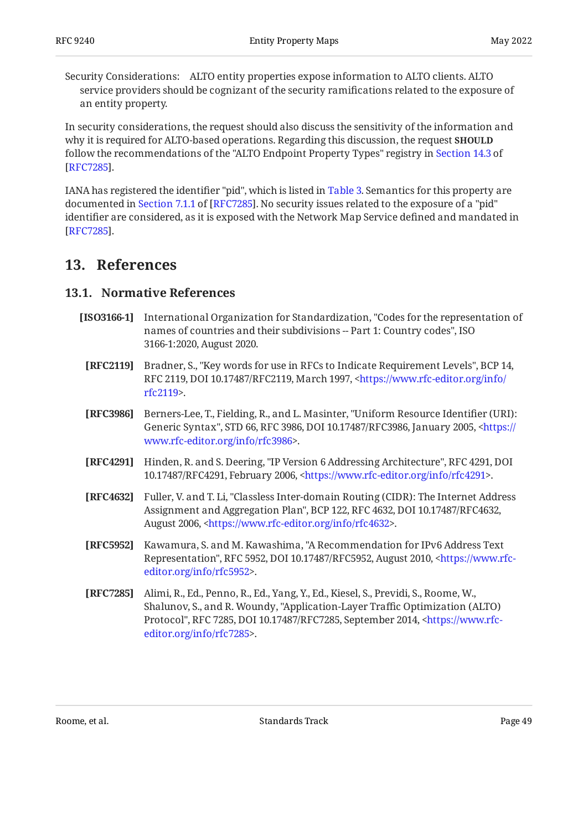Security Considerations: ALTO entity properties expose information to ALTO clients. ALTO service providers should be cognizant of the security ramifications related to the exposure of an entity property.

In security considerations, the request should also discuss the sensitivity of the information and why it is required for ALTO-based operations. Regarding this discussion, the request **SHOULD** follow the recommendations of the "ALTO Endpoint Property Types" registry in [Section 14.3](https://www.rfc-editor.org/rfc/rfc7285#section-14.3) of . [[RFC7285\]](#page-48-2)

IANA has registered the identifier "pid", which is listed in [Table 3.](#page-47-1) Semantics for this property are documentedin Section 7.1.1 of [RFC7285]. No security issues related to the exposure of a "pid"  $\,$ identifier are considered, as it is exposed with the Network Map Service defined and mandated in . [[RFC7285\]](#page-48-2)

# <span id="page-48-1"></span><span id="page-48-0"></span>**[13. References](#page-48-0)**

## **[13.1. Normative References](#page-48-1)**

- <span id="page-48-4"></span>**[ISO3166-1]** , International Organization for Standardization "Codes for the representation of names of countries and their subdivisions -- Part 1: Country codes", ISO 3166-1:2020, August 2020.
- <span id="page-48-3"></span>**[RFC2119]** Bradner, S., "Key words for use in RFCs to Indicate Requirement Levels", BCP 14, RFC 2119, DOI 10.17487/RFC2119, March 1997, [<https://www.rfc-editor.org/info/](https://www.rfc-editor.org/info/rfc2119) . [rfc2119](https://www.rfc-editor.org/info/rfc2119)>
- <span id="page-48-7"></span>**[RFC3986]** Berners-Lee, T., Fielding, R., and L. Masinter, "Uniform Resource Identifier (URI): Generic Syntax", STD 66, RFC 3986, DOI 10.17487/RFC3986, January 2005, [<https://](https://www.rfc-editor.org/info/rfc3986) . [www.rfc-editor.org/info/rfc3986>](https://www.rfc-editor.org/info/rfc3986)
- <span id="page-48-8"></span>**[RFC4291]** Hinden, R. and S. Deering, "IP Version 6 Addressing Architecture", RFC 4291, DOI 10.17487/RFC4291, February 2006, <https://www.rfc-editor.org/info/rfc4291>.
- <span id="page-48-6"></span>**[RFC4632]** Fuller, V. and T. Li, "Classless Inter-domain Routing (CIDR): The Internet Address Assignment and Aggregation Plan", BCP 122, RFC 4632, DOI 10.17487/RFC4632, August 2006, <https://www.rfc-editor.org/info/rfc4632>.
- <span id="page-48-5"></span>**[RFC5952]** Kawamura, S. and M. Kawashima, "A Recommendation for IPv6 Address Text Representation", RFC 5952, DOI 10.17487/RFC5952, August 2010, [<https://www.rfc-](https://www.rfc-editor.org/info/rfc5952). [editor.org/info/rfc5952](https://www.rfc-editor.org/info/rfc5952)>
- <span id="page-48-2"></span>**[RFC7285]** Alimi, R., Ed., Penno, R., Ed., Yang, Y., Ed., Kiesel, S., Previdi, S., Roome, W., Shalunov, S., and R. Woundy, "Application-Layer Traffic Optimization (ALTO) Protocol", RFC 7285, DOI 10.17487/RFC7285, September 2014, [<https://www.rfc-](https://www.rfc-editor.org/info/rfc7285). [editor.org/info/rfc7285](https://www.rfc-editor.org/info/rfc7285)>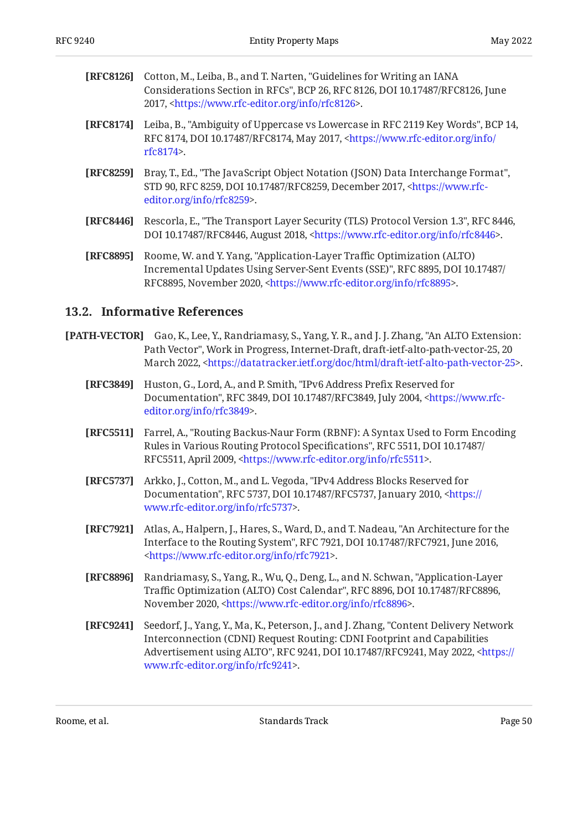<span id="page-49-7"></span>

| [RFC8126] Cotton, M., Leiba, B., and T. Narten, "Guidelines for Writing an IANA |
|---------------------------------------------------------------------------------|
| Considerations Section in RFCs", BCP 26, RFC 8126, DOI 10.17487/RFC8126, June   |
| 2017, <https: info="" rfc8126="" www.rfc-editor.org="">.</https:>               |

- <span id="page-49-2"></span>**[RFC8174]** Leiba, B., "Ambiguity of Uppercase vs Lowercase in RFC 2119 Key Words", BCP 14, RFC 8174, DOI 10.17487/RFC8174, May 2017, <[https://www.rfc-editor.org/info/](https://www.rfc-editor.org/info/rfc8174) . [rfc8174](https://www.rfc-editor.org/info/rfc8174)>
- <span id="page-49-12"></span>**[RFC8259]** Bray, T., Ed., "The JavaScript Object Notation (JSON) Data Interchange Format", STD 90, RFC 8259, DOI 10.17487/RFC8259, December 2017, [<https://www.rfc-](https://www.rfc-editor.org/info/rfc8259). [editor.org/info/rfc8259](https://www.rfc-editor.org/info/rfc8259)>
- <span id="page-49-11"></span>**[RFC8446]** Rescorla, E., "The Transport Layer Security (TLS) Protocol Version 1.3", RFC 8446, DOI 10.17487/RFC8446, August 2018, <https://www.rfc-editor.org/info/rfc8446>.
- <span id="page-49-9"></span>**[RFC8895]** Roome, W. and Y. Yang, "Application-Layer Traffic Optimization (ALTO) Incremental Updates Using Server-Sent Events (SSE)", RFC 8895, DOI 10.17487/ RFC8895, November 2020, <https://www.rfc-editor.org/info/rfc8895>.

### <span id="page-49-0"></span>**[13.2. Informative References](#page-49-0)**

- <span id="page-49-8"></span><span id="page-49-6"></span><span id="page-49-5"></span><span id="page-49-4"></span><span id="page-49-1"></span>**[PATH-VECTOR]** Gao, K., Lee, Y., Randriamasy, S., Yang, Y. R., and J. J. Zhang, "An ALTO Extension: Path Vector", Work in Progress, Internet-Draft, draft-ietf-alto-path-vector-25, 20 March 2022, [<https://datatracker.ietf.org/doc/html/draft-ietf-alto-path-vector-25](https://datatracker.ietf.org/doc/html/draft-ietf-alto-path-vector-25)>.
	- **[RFC3849]** Huston, G., Lord, A., and P. Smith, "IPv6 Address Prefix Reserved for Documentation", RFC 3849, DOI 10.17487/RFC3849, July 2004, <[https://www.rfc-](https://www.rfc-editor.org/info/rfc3849). [editor.org/info/rfc3849](https://www.rfc-editor.org/info/rfc3849)>
	- **[RFC5511]** , Farrel, A. "Routing Backus-Naur Form (RBNF): A Syntax Used to Form Encoding Rules in Various Routing Protocol Specifications", RFC 5511, DOI 10.17487/ RFC5511, April 2009, [<https://www.rfc-editor.org/info/rfc5511](https://www.rfc-editor.org/info/rfc5511)>.
	- **[RFC5737]** Arkko, J., Cotton, M., and L. Vegoda, "IPv4 Address Blocks Reserved for Documentation", RFC 5737, DOI 10.17487/RFC5737, January 2010, [<https://](https://www.rfc-editor.org/info/rfc5737) . [www.rfc-editor.org/info/rfc5737>](https://www.rfc-editor.org/info/rfc5737)
	- **[RFC7921]** Atlas, A., Halpern, J., Hares, S., Ward, D., and T. Nadeau, "An Architecture for the Interface to the Routing System", RFC 7921, DOI 10.17487/RFC7921, June 2016, . [<https://www.rfc-editor.org/info/rfc7921](https://www.rfc-editor.org/info/rfc7921)>
	- **[RFC8896]** Randriamasy, S., Yang, R., Wu, Q., Deng, L., and N. Schwan, "Application-Layer Traffic Optimization (ALTO) Cost Calendar", RFC 8896, DOI 10.17487/RFC8896, November 2020, <https://www.rfc-editor.org/info/rfc8896>.
	- **[RFC9241]** Seedorf, J., Yang, Y., Ma, K., Peterson, J., and J. Zhang, "Content Delivery Network Advertisement using ALTO", RFC 9241, DOI 10.17487/RFC9241, May 2022, [<https://](https://www.rfc-editor.org/info/rfc9241) . [www.rfc-editor.org/info/rfc9241>](https://www.rfc-editor.org/info/rfc9241) Interconnection (CDNI) Request Routing: CDNI Footprint and Capabilities

<span id="page-49-10"></span><span id="page-49-3"></span>Roome, et al. North and the Standards Track Communication of the Page 50 (north standards Track Page 50 (north standards Track Page 50 (north standards Track Page 50 (north standards Track Page 50 (north standards Track Pa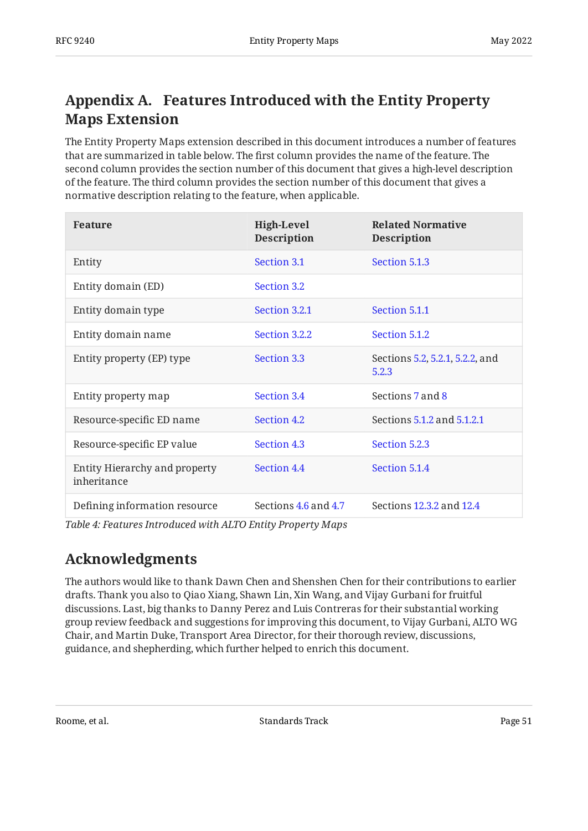# <span id="page-50-0"></span>**[Appendix A. Features Introduced with the Entity Property](#page-50-0) [Maps Extension](#page-50-0)**

The Entity Property Maps extension described in this document introduces a number of features that are summarized in table below. The first column provides the name of the feature. The second column provides the section number of this document that gives a high-level description of the feature. The third column provides the section number of this document that gives a normative description relating to the feature, when applicable.

<span id="page-50-2"></span>

| <b>Feature</b>                               | <b>High-Level</b><br><b>Description</b> | <b>Related Normative</b><br><b>Description</b> |
|----------------------------------------------|-----------------------------------------|------------------------------------------------|
| Entity                                       | Section 3.1                             | Section 5.1.3                                  |
| Entity domain (ED)                           | Section 3.2                             |                                                |
| Entity domain type                           | Section 3.2.1                           | Section 5.1.1                                  |
| Entity domain name                           | Section 3.2.2                           | Section 5.1.2                                  |
| Entity property (EP) type                    | Section 3.3                             | Sections 5.2, 5.2.1, 5.2.2, and<br>5.2.3       |
| Entity property map                          | Section 3.4                             | Sections 7 and 8                               |
| Resource-specific ED name                    | Section 4.2                             | Sections 5.1.2 and 5.1.2.1                     |
| Resource-specific EP value                   | Section 4.3                             | Section 5.2.3                                  |
| Entity Hierarchy and property<br>inheritance | Section 4.4                             | Section 5.1.4                                  |
| Defining information resource                | Sections 4.6 and 4.7                    | Sections 12.3.2 and 12.4                       |

<span id="page-50-1"></span>*[Table 4: Features Introduced with ALTO Entity Property Maps](#page-50-2)* 

# **[Acknowledgments](#page-50-1)**

The authors would like to thank Dawn Chen and Shenshen Chen for their contributions to earlier drafts. Thank you also to Qiao Xiang, Shawn Lin, Xin Wang, and Vijay Gurbani for fruitful discussions. Last, big thanks to Danny Perez and Luis Contreras for their substantial working group review feedback and suggestions for improving this document, to Vijay Gurbani, ALTO WG Chair, and Martin Duke, Transport Area Director, for their thorough review, discussions, guidance, and shepherding, which further helped to enrich this document.